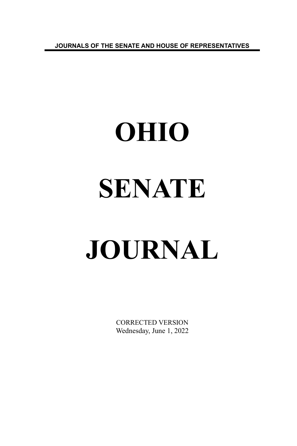**JOURNALS OF THE SENATE AND HOUSE OF REPRESENTATIVES**

# **OHIO SENATE**

# **JOURNAL**

CORRECTED VERSION Wednesday, June 1, 2022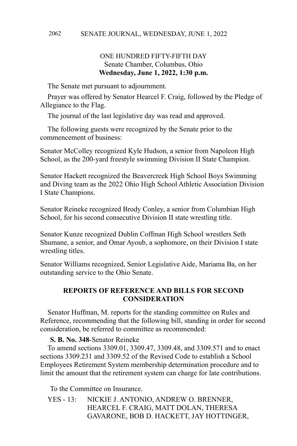# ONE HUNDRED FIFTY-FIFTH DAY Senate Chamber, Columbus, Ohio **Wednesday, June 1, 2022, 1:30 p.m.**

The Senate met pursuant to adjournment.

Prayer was offered by Senator Hearcel F. Craig, followed by the Pledge of Allegiance to the Flag.

The journal of the last legislative day was read and approved.

The following guests were recognized by the Senate prior to the commencement of business:

Senator McColley recognized Kyle Hudson, a senior from Napoleon High School, as the 200-yard freestyle swimming Division II State Champion.

Senator Hackett recognized the Beavercreek High School Boys Swimming and Diving team as the 2022 Ohio High School Athletic Association Division I State Champions.

Senator Reineke recognized Brody Conley, a senior from Columbian High School, for his second consecutive Division II state wrestling title.

Senator Kunze recognized Dublin Coffman High School wrestlers Seth Shumane, a senior, and Omar Ayoub, a sophomore, on their Division I state wrestling titles.

Senator Williams recognized, Senior Legislative Aide, Mariama Ba, on her outstanding service to the Ohio Senate.

# **REPORTS OF REFERENCE AND BILLS FOR SECOND CONSIDERATION**

Senator Huffman, M. reports for the standing committee on Rules and Reference, recommending that the following bill, standing in order for second consideration, be referred to committee as recommended:

# **S. B. No. 348**-Senator Reineke

To amend sections 3309.01, 3309.47, 3309.48, and 3309.571 and to enact sections 3309.231 and 3309.52 of the Revised Code to establish a School Employees Retirement System membership determination procedure and to limit the amount that the retirement system can charge for late contributions.

To the Committee on Insurance.

YES - 13: NICKIE J. ANTONIO, ANDREW O. BRENNER, HEARCEL F. CRAIG, MATT DOLAN, THERESA GAVARONE, BOB D. HACKETT, JAY HOTTINGER,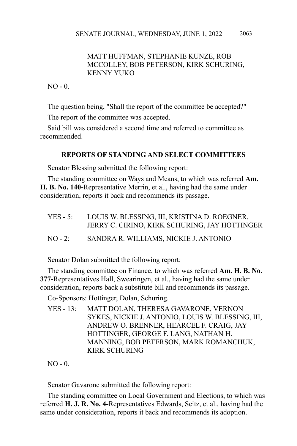# MATT HUFFMAN, STEPHANIE KUNZE, ROB MCCOLLEY, BOB PETERSON, KIRK SCHURING, KENNY YUKO

 $NO - 0.$ 

The question being, "Shall the report of the committee be accepted?"

The report of the committee was accepted.

Said bill was considered a second time and referred to committee as recommended.

# **REPORTS OF STANDING AND SELECT COMMITTEES**

Senator Blessing submitted the following report:

The standing committee on Ways and Means, to which was referred **Am. H. B. No. 140-**Representative Merrin, et al., having had the same under consideration, reports it back and recommends its passage.

| $YES - 5:$ | LOUIS W. BLESSING, III, KRISTINA D. ROEGNER,<br>JERRY C. CIRINO, KIRK SCHURING, JAY HOTTINGER |
|------------|-----------------------------------------------------------------------------------------------|
| $NO - 2$ : | SANDRA R. WILLIAMS, NICKIE J. ANTONIO                                                         |

Senator Dolan submitted the following report:

The standing committee on Finance, to which was referred **Am. H. B. No. 377-**Representatives Hall, Swearingen, et al., having had the same under consideration, reports back a substitute bill and recommends its passage.

Co-Sponsors: Hottinger, Dolan, Schuring.

YES - 13: MATT DOLAN, THERESA GAVARONE, VERNON SYKES, NICKIE J. ANTONIO, LOUIS W. BLESSING, III, ANDREW O. BRENNER, HEARCEL F. CRAIG, JAY HOTTINGER, GEORGE F. LANG, NATHAN H. MANNING, BOB PETERSON, MARK ROMANCHUK, KIRK SCHURING

 $NO - 0.$ 

Senator Gavarone submitted the following report:

The standing committee on Local Government and Elections, to which was referred **H. J. R. No. 4-**Representatives Edwards, Seitz, et al., having had the same under consideration, reports it back and recommends its adoption.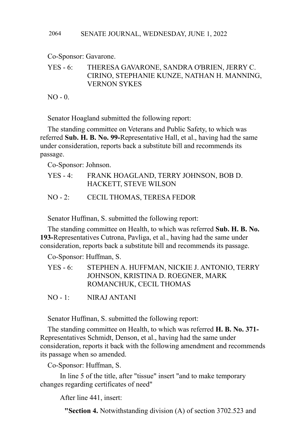Co-Sponsor: Gavarone.

# YES - 6: THERESA GAVARONE, SANDRA O'BRIEN, JERRY C. CIRINO, STEPHANIE KUNZE, NATHAN H. MANNING, VERNON SYKES

 $NO - 0.$ 

Senator Hoagland submitted the following report:

The standing committee on Veterans and Public Safety, to which was referred **Sub. H. B. No. 99-**Representative Hall, et al., having had the same under consideration, reports back a substitute bill and recommends its passage.

Co-Sponsor: Johnson.

| YES - 4: | FRANK HOAGLAND, TERRY JOHNSON, BOB D. |
|----------|---------------------------------------|
|          | HACKETT, STEVE WILSON                 |

# NO - 2: CECIL THOMAS, TERESA FEDOR

Senator Huffman, S. submitted the following report:

The standing committee on Health, to which was referred **Sub. H. B. No. 193-**Representatives Cutrona, Pavliga, et al., having had the same under consideration, reports back a substitute bill and recommends its passage.

Co-Sponsor: Huffman, S.

| YES - 6: | STEPHEN A. HUFFMAN, NICKIE J. ANTONIO, TERRY |
|----------|----------------------------------------------|
|          | JOHNSON, KRISTINA D. ROEGNER, MARK           |
|          | ROMANCHUK, CECIL THOMAS                      |

NO - 1: NIRAJ ANTANI

Senator Huffman, S. submitted the following report:

The standing committee on Health, to which was referred **H. B. No. 371-** Representatives Schmidt, Denson, et al., having had the same under consideration, reports it back with the following amendment and recommends its passage when so amended.

Co-Sponsor: Huffman, S.

In line 5 of the title, after "tissue" insert "and to make temporary changes regarding certificates of need"

After line 441, insert:

**"Section 4.** Notwithstanding division (A) of section 3702.523 and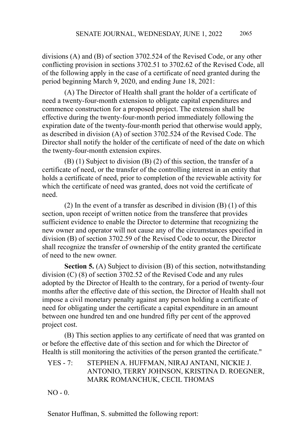divisions (A) and (B) of section 3702.524 of the Revised Code, or any other conflicting provision in sections 3702.51 to 3702.62 of the Revised Code, all of the following apply in the case of a certificate of need granted during the period beginning March 9, 2020, and ending June 18, 2021:

(A) The Director of Health shall grant the holder of a certificate of need a twenty-four-month extension to obligate capital expenditures and commence construction for a proposed project. The extension shall be effective during the twenty-four-month period immediately following the expiration date of the twenty-four-month period that otherwise would apply, as described in division (A) of section 3702.524 of the Revised Code. The Director shall notify the holder of the certificate of need of the date on which the twenty-four-month extension expires.

(B) (1) Subject to division (B) (2) of this section, the transfer of a certificate of need, or the transfer of the controlling interest in an entity that holds a certificate of need, prior to completion of the reviewable activity for which the certificate of need was granted, does not void the certificate of need.

(2) In the event of a transfer as described in division (B) (1) of this section, upon receipt of written notice from the transferee that provides sufficient evidence to enable the Director to determine that recognizing the new owner and operator will not cause any of the circumstances specified in division (B) of section 3702.59 of the Revised Code to occur, the Director shall recognize the transfer of ownership of the entity granted the certificate of need to the new owner.

**Section 5.** (A) Subject to division (B) of this section, notwithstanding division (C) (8) of section 3702.52 of the Revised Code and any rules adopted by the Director of Health to the contrary, for a period of twenty-four months after the effective date of this section, the Director of Health shall not impose a civil monetary penalty against any person holding a certificate of need for obligating under the certificate a capital expenditure in an amount between one hundred ten and one hundred fifty per cent of the approved project cost.

(B) This section applies to any certificate of need that was granted on or before the effective date of this section and for which the Director of Health is still monitoring the activities of the person granted the certificate."

# YES - 7: STEPHEN A. HUFFMAN, NIRAJ ANTANI, NICKIE J. ANTONIO, TERRY JOHNSON, KRISTINA D. ROEGNER, MARK ROMANCHUK, CECIL THOMAS

 $NO - 0.$ 

Senator Huffman, S. submitted the following report: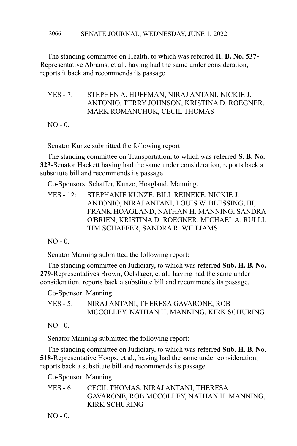SENATE JOURNAL, WEDNESDAY, JUNE 1, 2022 2066

The standing committee on Health, to which was referred **H. B. No. 537-** Representative Abrams, et al., having had the same under consideration, reports it back and recommends its passage.

# YES - 7: STEPHEN A. HUFFMAN, NIRAJ ANTANI, NICKIE J. ANTONIO, TERRY JOHNSON, KRISTINA D. ROEGNER, MARK ROMANCHUK, CECIL THOMAS

 $NO - 0$ 

Senator Kunze submitted the following report:

The standing committee on Transportation, to which was referred **S. B. No. 323-**Senator Hackett having had the same under consideration, reports back a substitute bill and recommends its passage.

Co-Sponsors: Schaffer, Kunze, Hoagland, Manning.

YES - 12: STEPHANIE KUNZE, BILL REINEKE, NICKIE J. ANTONIO, NIRAJ ANTANI, LOUIS W. BLESSING, III, FRANK HOAGLAND, NATHAN H. MANNING, SANDRA O'BRIEN, KRISTINA D. ROEGNER, MICHAEL A. RULLI, TIM SCHAFFER, SANDRA R. WILLIAMS

 $NO - 0.$ 

Senator Manning submitted the following report:

The standing committee on Judiciary, to which was referred **Sub. H. B. No. 279-**Representatives Brown, Oelslager, et al., having had the same under consideration, reports back a substitute bill and recommends its passage.

Co-Sponsor: Manning.

YES - 5: NIRAJ ANTANI, THERESA GAVARONE, ROB MCCOLLEY, NATHAN H. MANNING, KIRK SCHURING

NO - 0.

Senator Manning submitted the following report:

The standing committee on Judiciary, to which was referred **Sub. H. B. No. 518-**Representative Hoops, et al., having had the same under consideration, reports back a substitute bill and recommends its passage.

Co-Sponsor: Manning.

YES - 6: CECIL THOMAS, NIRAJ ANTANI, THERESA GAVARONE, ROB MCCOLLEY, NATHAN H. MANNING, KIRK SCHURING

 $NO - 0.$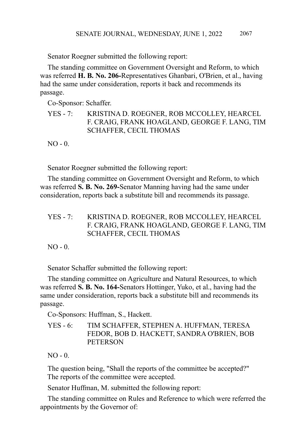Senator Roegner submitted the following report:

The standing committee on Government Oversight and Reform, to which was referred **H. B. No. 206-**Representatives Ghanbari, O'Brien, et al., having had the same under consideration, reports it back and recommends its passage.

Co-Sponsor: Schaffer.

YES - 7: KRISTINA D. ROEGNER, ROB MCCOLLEY, HEARCEL F. CRAIG, FRANK HOAGLAND, GEORGE F. LANG, TIM SCHAFFER, CECIL THOMAS

 $NO - 0.$ 

Senator Roegner submitted the following report:

The standing committee on Government Oversight and Reform, to which was referred **S. B. No. 269-**Senator Manning having had the same under consideration, reports back a substitute bill and recommends its passage.

# YES - 7: KRISTINA D. ROEGNER, ROB MCCOLLEY, HEARCEL F. CRAIG, FRANK HOAGLAND, GEORGE F. LANG, TIM SCHAFFER, CECIL THOMAS

 $NO - 0.$ 

Senator Schaffer submitted the following report:

The standing committee on Agriculture and Natural Resources, to which was referred **S. B. No. 164-**Senators Hottinger, Yuko, et al., having had the same under consideration, reports back a substitute bill and recommends its passage.

Co-Sponsors: Huffman, S., Hackett.

YES - 6: TIM SCHAFFER, STEPHEN A. HUFFMAN, TERESA FEDOR, BOB D. HACKETT, SANDRA O'BRIEN, BOB **PETERSON** 

 $NO - 0$ 

The question being, "Shall the reports of the committee be accepted?" The reports of the committee were accepted.

Senator Huffman, M. submitted the following report:

The standing committee on Rules and Reference to which were referred the appointments by the Governor of: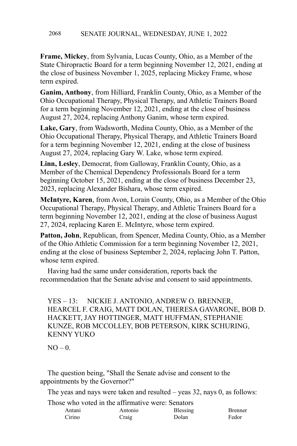**Frame, Mickey**, from Sylvania, Lucas County, Ohio, as a Member of the State Chiropractic Board for a term beginning November 12, 2021, ending at the close of business November 1, 2025, replacing Mickey Frame, whose term expired.

**Ganim, Anthony**, from Hilliard, Franklin County, Ohio, as a Member of the Ohio Occupational Therapy, Physical Therapy, and Athletic Trainers Board for a term beginning November 12, 2021, ending at the close of business August 27, 2024, replacing Anthony Ganim, whose term expired.

**Lake, Gary**, from Wadsworth, Medina County, Ohio, as a Member of the Ohio Occupational Therapy, Physical Therapy, and Athletic Trainers Board for a term beginning November 12, 2021, ending at the close of business August 27, 2024, replacing Gary W. Lake, whose term expired.

**Linn, Lesley**, Democrat, from Galloway, Franklin County, Ohio, as a Member of the Chemical Dependency Professionals Board for a term beginning October 15, 2021, ending at the close of business December 23, 2023, replacing Alexander Bishara, whose term expired.

**McIntyre, Karen**, from Avon, Lorain County, Ohio, as a Member of the Ohio Occupational Therapy, Physical Therapy, and Athletic Trainers Board for a term beginning November 12, 2021, ending at the close of business August 27, 2024, replacing Karen E. McIntyre, whose term expired.

**Patton, John**, Republican, from Spencer, Medina County, Ohio, as a Member of the Ohio Athletic Commission for a term beginning November 12, 2021, ending at the close of business September 2, 2024, replacing John T. Patton, whose term expired.

Having had the same under consideration, reports back the recommendation that the Senate advise and consent to said appointments.

YES – 13: NICKIE J. ANTONIO, ANDREW O. BRENNER, HEARCEL F. CRAIG, MATT DOLAN, THERESA GAVARONE, BOB D. HACKETT, JAY HOTTINGER, MATT HUFFMAN, STEPHANIE KUNZE, ROB MCCOLLEY, BOB PETERSON, KIRK SCHURING, KENNY YUKO

 $NO - 0.$ 

The question being, "Shall the Senate advise and consent to the appointments by the Governor?"

The yeas and nays were taken and resulted – yeas 32, nays 0, as follows:

Those who voted in the affirmative were: Senators

| Antani | Antonio | <b>Blessing</b> | <b>Brenner</b> |
|--------|---------|-----------------|----------------|
| Cirino | Craig   | Dolan           | Fedor          |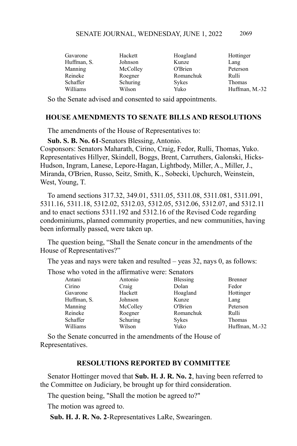| Gavarone    | Hackett  | Hoagland  | Hottinger      |
|-------------|----------|-----------|----------------|
| Huffman, S. | Johnson  | Kunze     | Lang           |
| Manning     | McColley | O'Brien   | Peterson       |
| Reineke     | Roegner  | Romanchuk | Rulli          |
| Schaffer    | Schuring | Sykes     | <b>Thomas</b>  |
| Williams    | Wilson   | Yuko      | Huffman, M.-32 |

So the Senate advised and consented to said appointments.

#### **HOUSE AMENDMENTS TO SENATE BILLS AND RESOLUTIONS**

The amendments of the House of Representatives to:

**Sub. S. B. No. 61**-Senators Blessing, Antonio.

Cosponsors: Senators Maharath, Cirino, Craig, Fedor, Rulli, Thomas, Yuko. Representatives Hillyer, Skindell, Boggs, Brent, Carruthers, Galonski, Hicks-Hudson, Ingram, Lanese, Lepore-Hagan, Lightbody, Miller, A., Miller, J., Miranda, O'Brien, Russo, Seitz, Smith, K., Sobecki, Upchurch, Weinstein, West, Young, T.

To amend sections 317.32, 349.01, 5311.05, 5311.08, 5311.081, 5311.091, 5311.16, 5311.18, 5312.02, 5312.03, 5312.05, 5312.06, 5312.07, and 5312.11 and to enact sections 5311.192 and 5312.16 of the Revised Code regarding condominiums, planned community properties, and new communities, having been informally passed, were taken up.

The question being, "Shall the Senate concur in the amendments of the House of Representatives?"

The yeas and nays were taken and resulted – yeas 32, nays 0, as follows:

Those who voted in the affirmative were: Senators

| Antani      | Antonio  | <b>Blessing</b> | <b>Brenner</b> |
|-------------|----------|-----------------|----------------|
| Cirino      | Craig    | Dolan           | Fedor          |
| Gavarone    | Hackett  | Hoagland        | Hottinger      |
| Huffman, S. | Johnson  | Kunze           | Lang           |
| Manning     | McColley | O'Brien         | Peterson       |
| Reineke     | Roegner  | Romanchuk       | Rulli          |
| Schaffer    | Schuring | <b>Sykes</b>    | Thomas         |
| Williams    | Wilson   | Yuko            | Huffman, M.-32 |

So the Senate concurred in the amendments of the House of Representatives.

#### **RESOLUTIONS REPORTED BY COMMITTEE**

Senator Hottinger moved that **Sub. H. J. R. No. 2**, having been referred to the Committee on Judiciary, be brought up for third consideration.

The question being, "Shall the motion be agreed to?"

The motion was agreed to.

**Sub. H. J. R. No. 2**-Representatives LaRe, Swearingen.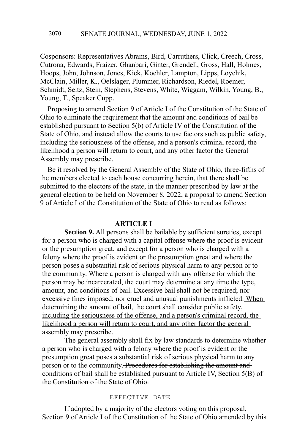Cosponsors: Representatives Abrams, Bird, Carruthers, Click, Creech, Cross, Cutrona, Edwards, Fraizer, Ghanbari, Ginter, Grendell, Gross, Hall, Holmes, Hoops, John, Johnson, Jones, Kick, Koehler, Lampton, Lipps, Loychik, McClain, Miller, K., Oelslager, Plummer, Richardson, Riedel, Roemer, Schmidt, Seitz, Stein, Stephens, Stevens, White, Wiggam, Wilkin, Young, B., Young, T., Speaker Cupp.

Proposing to amend Section 9 of Article I of the Constitution of the State of Ohio to eliminate the requirement that the amount and conditions of bail be established pursuant to Section 5(b) of Article IV of the Constitution of the State of Ohio, and instead allow the courts to use factors such as public safety, including the seriousness of the offense, and a person's criminal record, the likelihood a person will return to court, and any other factor the General Assembly may prescribe.

Be it resolved by the General Assembly of the State of Ohio, three-fifths of the members elected to each house concurring herein, that there shall be submitted to the electors of the state, in the manner prescribed by law at the general election to be held on November 8, 2022, a proposal to amend Section 9 of Article I of the Constitution of the State of Ohio to read as follows:

#### **ARTICLE I**

**Section 9.** All persons shall be bailable by sufficient sureties, except for a person who is charged with a capital offense where the proof is evident or the presumption great, and except for a person who is charged with a felony where the proof is evident or the presumption great and where the person poses a substantial risk of serious physical harm to any person or to the community. Where a person is charged with any offense for which the person may be incarcerated, the court may determine at any time the type, amount, and conditions of bail. Excessive bail shall not be required; nor excessive fines imposed; nor cruel and unusual punishments inflicted. When determining the amount of bail, the court shall consider public safety, including the seriousness of the offense, and a person's criminal record, the likelihood a person will return to court, and any other factor the general assembly may prescribe.

The general assembly shall fix by law standards to determine whether a person who is charged with a felony where the proof is evident or the presumption great poses a substantial risk of serious physical harm to any person or to the community. Procedures for establishing the amount and conditions of bail shall be established pursuant to Article IV, Section 5(B) of the Constitution of the State of Ohio.

#### EFFECTIVE DATE

If adopted by a majority of the electors voting on this proposal, Section 9 of Article I of the Constitution of the State of Ohio amended by this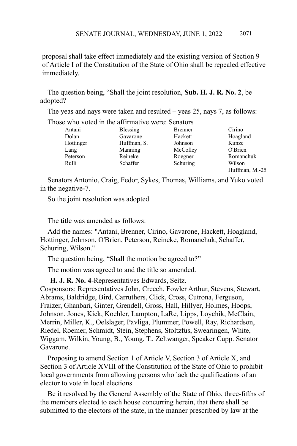proposal shall take effect immediately and the existing version of Section 9 of Article I of the Constitution of the State of Ohio shall be repealed effective immediately.

The question being, "Shall the joint resolution, **Sub. H. J. R. No. 2**, be adopted?

The yeas and nays were taken and resulted – yeas 25, nays 7, as follows:

Those who voted in the affirmative were: Senators

| Antani    | Blessing    | <b>Brenner</b> | Cirino         |
|-----------|-------------|----------------|----------------|
| Dolan     | Gavarone    | Hackett        | Hoagland       |
| Hottinger | Huffman, S. | Johnson        | Kunze          |
| Lang      | Manning     | McColley       | O'Brien        |
| Peterson  | Reineke     | Roegner        | Romanchuk      |
| Rulli     | Schaffer    | Schuring       | Wilson         |
|           |             |                | Huffman, M.-25 |

Senators Antonio, Craig, Fedor, Sykes, Thomas, Williams, and Yuko voted in the negative-7.

So the joint resolution was adopted.

The title was amended as follows:

Add the names: "Antani, Brenner, Cirino, Gavarone, Hackett, Hoagland, Hottinger, Johnson, O'Brien, Peterson, Reineke, Romanchuk, Schaffer, Schuring, Wilson."

The question being, "Shall the motion be agreed to?"

The motion was agreed to and the title so amended.

**H. J. R. No. 4**-Representatives Edwards, Seitz.

Cosponsors: Representatives John, Creech, Fowler Arthur, Stevens, Stewart, Abrams, Baldridge, Bird, Carruthers, Click, Cross, Cutrona, Ferguson, Fraizer, Ghanbari, Ginter, Grendell, Gross, Hall, Hillyer, Holmes, Hoops, Johnson, Jones, Kick, Koehler, Lampton, LaRe, Lipps, Loychik, McClain, Merrin, Miller, K., Oelslager, Pavliga, Plummer, Powell, Ray, Richardson, Riedel, Roemer, Schmidt, Stein, Stephens, Stoltzfus, Swearingen, White, Wiggam, Wilkin, Young, B., Young, T., Zeltwanger, Speaker Cupp. Senator Gavarone.

Proposing to amend Section 1 of Article V, Section 3 of Article X, and Section 3 of Article XVIII of the Constitution of the State of Ohio to prohibit local governments from allowing persons who lack the qualifications of an elector to vote in local elections.

Be it resolved by the General Assembly of the State of Ohio, three-fifths of the members elected to each house concurring herein, that there shall be submitted to the electors of the state, in the manner prescribed by law at the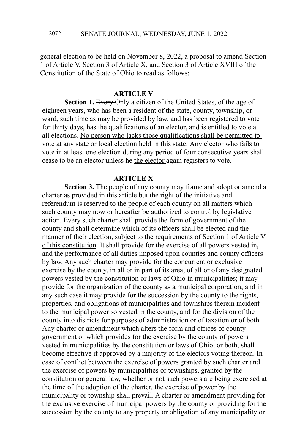general election to be held on November 8, 2022, a proposal to amend Section 1 of Article V, Section 3 of Article X, and Section 3 of Article XVIII of the Constitution of the State of Ohio to read as follows:

#### **ARTICLE V**

**Section 1. Every Only a citizen of the United States, of the age of** eighteen years, who has been a resident of the state, county, township, or ward, such time as may be provided by law, and has been registered to vote for thirty days, has the qualifications of an elector, and is entitled to vote at all elections. No person who lacks those qualifications shall be permitted to vote at any state or local election held in this state. Any elector who fails to vote in at least one election during any period of four consecutive years shall cease to be an elector unless he the elector again registers to vote.

#### **ARTICLE X**

**Section 3.** The people of any county may frame and adopt or amend a charter as provided in this article but the right of the initiative and referendum is reserved to the people of each county on all matters which such county may now or hereafter be authorized to control by legislative action. Every such charter shall provide the form of government of the county and shall determine which of its officers shall be elected and the manner of their election, subject to the requirements of Section 1 of Article V of this constitution. It shall provide for the exercise of all powers vested in, and the performance of all duties imposed upon counties and county officers by law. Any such charter may provide for the concurrent or exclusive exercise by the county, in all or in part of its area, of all or of any designated powers vested by the constitution or laws of Ohio in municipalities; it may provide for the organization of the county as a municipal corporation; and in any such case it may provide for the succession by the county to the rights, properties, and obligations of municipalities and townships therein incident to the municipal power so vested in the county, and for the division of the county into districts for purposes of administration or of taxation or of both. Any charter or amendment which alters the form and offices of county government or which provides for the exercise by the county of powers vested in municipalities by the constitution or laws of Ohio, or both, shall become effective if approved by a majority of the electors voting thereon. In case of conflict between the exercise of powers granted by such charter and the exercise of powers by municipalities or townships, granted by the constitution or general law, whether or not such powers are being exercised at the time of the adoption of the charter, the exercise of power by the municipality or township shall prevail. A charter or amendment providing for the exclusive exercise of municipal powers by the county or providing for the succession by the county to any property or obligation of any municipality or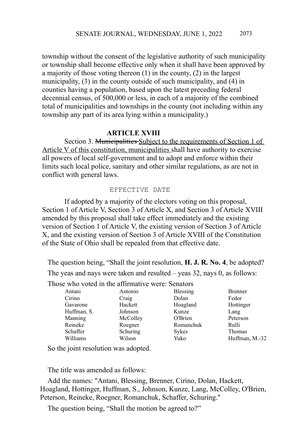township without the consent of the legislative authority of such municipality or township shall become effective only when it shall have been approved by a majority of those voting thereon  $(1)$  in the county,  $(2)$  in the largest municipality, (3) in the county outside of such municipality, and (4) in counties having a population, based upon the latest preceding federal decennial census, of 500,000 or less, in each of a majority of the combined total of municipalities and townships in the county (not including within any township any part of its area lying within a municipality.)

#### **ARTICLE XVIII**

Section 3. Municipalities Subject to the requirements of Section 1 of Article V of this constitution, municipalities shall have authority to exercise all powers of local self-government and to adopt and enforce within their limits such local police, sanitary and other similar regulations, as are not in conflict with general laws.

#### EFFECTIVE DATE

If adopted by a majority of the electors voting on this proposal, Section 1 of Article V, Section 3 of Article X, and Section 3 of Article XVIII amended by this proposal shall take effect immediately and the existing version of Section 1 of Article V, the existing version of Section 3 of Article X, and the existing version of Section 3 of Article XVIII of the Constitution of the State of Ohio shall be repealed from that effective date.

The question being, "Shall the joint resolution, **H. J. R. No. 4**, be adopted?

The yeas and nays were taken and resulted – yeas 32, nays 0, as follows:

Those who voted in the affirmative were: Senators

| Antani      | Antonio  | Blessing     | <b>Brenner</b> |
|-------------|----------|--------------|----------------|
| Cirino      | Craig    | Dolan        | Fedor          |
| Gavarone    | Hackett  | Hoagland     | Hottinger      |
| Huffman, S. | Johnson  | Kunze        | Lang           |
| Manning     | McColley | O'Brien      | Peterson       |
| Reineke     | Roegner  | Romanchuk    | Rulli          |
| Schaffer    | Schuring | <b>Sykes</b> | Thomas         |
| Williams    | Wilson   | Yuko         | Huffman, M.-32 |

So the joint resolution was adopted.

The title was amended as follows:

Add the names: "Antani, Blessing, Brenner, Cirino, Dolan, Hackett, Hoagland, Hottinger, Huffman, S., Johnson, Kunze, Lang, McColley, O'Brien, Peterson, Reineke, Roegner, Romanchuk, Schaffer, Schuring."

The question being, "Shall the motion be agreed to?"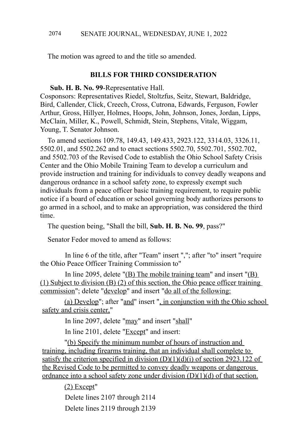The motion was agreed to and the title so amended.

#### **BILLS FOR THIRD CONSIDERATION**

#### **Sub. H. B. No. 99**-Representative Hall.

Cosponsors: Representatives Riedel, Stoltzfus, Seitz, Stewart, Baldridge, Bird, Callender, Click, Creech, Cross, Cutrona, Edwards, Ferguson, Fowler Arthur, Gross, Hillyer, Holmes, Hoops, John, Johnson, Jones, Jordan, Lipps, McClain, Miller, K., Powell, Schmidt, Stein, Stephens, Vitale, Wiggam, Young, T. Senator Johnson.

To amend sections 109.78, 149.43, 149.433, 2923.122, 3314.03, 3326.11, 5502.01, and 5502.262 and to enact sections 5502.70, 5502.701, 5502.702, and 5502.703 of the Revised Code to establish the Ohio School Safety Crisis Center and the Ohio Mobile Training Team to develop a curriculum and provide instruction and training for individuals to convey deadly weapons and dangerous ordnance in a school safety zone, to expressly exempt such individuals from a peace officer basic training requirement, to require public notice if a board of education or school governing body authorizes persons to go armed in a school, and to make an appropriation, was considered the third time.

The question being, "Shall the bill, **Sub. H. B. No. 99**, pass?"

Senator Fedor moved to amend as follows:

In line 6 of the title, after "Team" insert ","; after "to" insert "require the Ohio Peace Officer Training Commission to"

In line 2095, delete  $"({\rm B})$  The mobile training team" and insert  $"({\rm B})$ (1) Subject to division (B) (2) of this section, the Ohio peace officer training commission"; delete "develop" and insert "do all of the following:

(a) Develop"; after "and" insert ", in conjunction with the Ohio school safety and crisis center,"

In line 2097, delete "may" and insert "shall"

In line 2101, delete "Except" and insert:

"(b) Specify the minimum number of hours of instruction and training, including firearms training, that an individual shall complete to satisfy the criterion specified in division  $(D)(1)(d)(i)$  of section 2923.122 of the Revised Code to be permitted to convey deadly weapons or dangerous ordnance into a school safety zone under division  $(D)(1)(d)$  of that section.

(2) Except"

Delete lines 2107 through 2114 Delete lines 2119 through 2139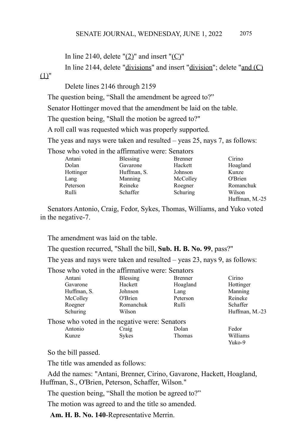In line 2140, delete " $(2)$ " and insert " $(C)$ "

In line 2144, delete "divisions" and insert "division"; delete "and (C)

 $(1)$ "

Delete lines 2146 through 2159

The question being, "Shall the amendment be agreed to?"

Senator Hottinger moved that the amendment be laid on the table.

The question being, "Shall the motion be agreed to?"

A roll call was requested which was properly supported.

The yeas and nays were taken and resulted – yeas 25, nays 7, as follows:

Those who voted in the affirmative were: Senators

| Antani    | <b>Blessing</b> | <b>Brenner</b> | Cirino         |
|-----------|-----------------|----------------|----------------|
| Dolan     | Gavarone        | Hackett        | Hoagland       |
| Hottinger | Huffman, S.     | Johnson        | Kunze          |
| Lang      | Manning         | McColley       | O'Brien        |
| Peterson  | Reineke         | Roegner        | Romanchuk      |
| Rulli     | Schaffer        | Schuring       | Wilson         |
|           |                 |                | Huffman, M.-25 |

Senators Antonio, Craig, Fedor, Sykes, Thomas, Williams, and Yuko voted in the negative-7.

The amendment was laid on the table.

The question recurred, "Shall the bill, **Sub. H. B. No. 99**, pass?"

The yeas and nays were taken and resulted – yeas 23, nays 9, as follows:

Those who voted in the affirmative were: Senators

| Antani                                         | <b>Blessing</b> | <b>Brenner</b> | Cirino         |
|------------------------------------------------|-----------------|----------------|----------------|
| Gavarone                                       | Hackett         | Hoagland       | Hottinger      |
| Huffman, S.                                    | Johnson         | Lang           | Manning        |
| McColley                                       | O'Brien         | Peterson       | Reineke        |
| Roegner                                        | Romanchuk       | Rulli          | Schaffer       |
| Schuring                                       | Wilson          |                | Huffman, M.-23 |
| Those who voted in the negative were: Senators |                 |                |                |
| Antonio                                        | Craig           | Dolan          | Fedor          |
| Kunze                                          | <b>Sykes</b>    | Thomas         | Williams       |
|                                                |                 |                | Yuko-9         |

So the bill passed.

The title was amended as follows:

Add the names: "Antani, Brenner, Cirino, Gavarone, Hackett, Hoagland, Huffman, S., O'Brien, Peterson, Schaffer, Wilson."

The question being, "Shall the motion be agreed to?"

The motion was agreed to and the title so amended.

**Am. H. B. No. 140**-Representative Merrin.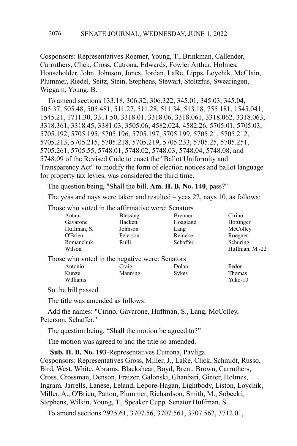Cosponsors: Representatives Roemer, Young, T., Brinkman, Callender, Carruthers, Click, Cross, Cutrona, Edwards, Fowler Arthur, Holmes, Householder, John, Johnson, Jones, Jordan, LaRe, Lipps, Loychik, McClain, Plummer, Riedel, Seitz, Stein, Stephens, Stewart, Stoltzfus, Swearingen, Wiggam, Young, B.

To amend sections 133.18, 306.32, 306.322, 345.01, 345.03, 345.04, 505.37, 505.48, 505.481, 511.27, 511.28, 511.34, 513.18, 755.181, 1545.041, 1545.21, 1711.30, 3311.50, 3318.01, 3318.06, 3318.061, 3318.062, 3318.063, 3318.361, 3318.45, 3381.03, 3505.06, 4582.024, 4582.26, 5705.01, 5705.03, 5705.192, 5705.195, 5705.196, 5705.197, 5705.199, 5705.21, 5705.212, 5705.213, 5705.215, 5705.218, 5705.219, 5705.233, 5705.25, 5705.251, 5705.261, 5705.55, 5748.01, 5748.02, 5748.03, 5748.04, 5748.08, and 5748.09 of the Revised Code to enact the "Ballot Uniformity and Transparency Act" to modify the form of election notices and ballot language for property tax levies, was considered the third time.

The question being, "Shall the bill, **Am. H. B. No. 140**, pass?"

The yeas and nays were taken and resulted – yeas 22, nays 10, as follows:

Those who voted in the affirmative were: Senators

| Antani                                         | <b>Blessing</b> | <b>Brenner</b> | Cirino         |
|------------------------------------------------|-----------------|----------------|----------------|
| Gavarone                                       | Hackett         | Hoagland       | Hottinger      |
| Huffman, S.                                    | Johnson         | Lang           | McColley       |
| O'Brien                                        | Peterson        | Reineke        | Roegner        |
| Romanchuk                                      | Rulli           | Schaffer       | Schuring       |
| Wilson                                         |                 |                | Huffman, M.-22 |
| Those who voted in the negative were: Senators |                 |                |                |
| Antonio                                        | Craig           | Dolan          | Fedor          |
| Kunze                                          | Manning         | <b>Sykes</b>   | Thomas         |
| Williams                                       |                 |                | Yuko-10        |

So the bill passed.

The title was amended as follows:

Add the names: "Cirino, Gavarone, Huffman, S., Lang, McColley, Peterson, Schaffer."

The question being, "Shall the motion be agreed to?"

The motion was agreed to and the title so amended.

**Sub. H. B. No. 193**-Representatives Cutrona, Pavliga. Cosponsors: Representatives Gross, Miller, J., LaRe, Click, Schmidt, Russo, Bird, West, White, Abrams, Blackshear, Boyd, Brent, Brown, Carruthers, Cross, Crossman, Denson, Fraizer, Galonski, Ghanbari, Ginter, Holmes, Ingram, Jarrells, Lanese, Leland, Lepore-Hagan, Lightbody, Liston, Loychik, Miller, A., O'Brien, Patton, Plummer, Richardson, Smith, M., Sobecki, Stephens, Wilkin, Young, T., Speaker Cupp. Senator Huffman, S.

To amend sections 2925.61, 3707.56, 3707.561, 3707.562, 3712.01,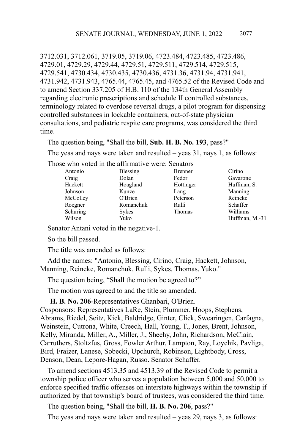3712.031, 3712.061, 3719.05, 3719.06, 4723.484, 4723.485, 4723.486, 4729.01, 4729.29, 4729.44, 4729.51, 4729.511, 4729.514, 4729.515, 4729.541, 4730.434, 4730.435, 4730.436, 4731.36, 4731.94, 4731.941, 4731.942, 4731.943, 4765.44, 4765.45, and 4765.52 of the Revised Code and to amend Section 337.205 of H.B. 110 of the 134th General Assembly regarding electronic prescriptions and schedule II controlled substances, terminology related to overdose reversal drugs, a pilot program for dispensing controlled substances in lockable containers, out-of-state physician consultations, and pediatric respite care programs, was considered the third time.

The question being, "Shall the bill, **Sub. H. B. No. 193**, pass?"

The yeas and nays were taken and resulted – yeas 31, nays 1, as follows:

Those who voted in the affirmative were: Senators

| Antonio  | <b>Blessing</b> | <b>Brenner</b> | Cirino         |
|----------|-----------------|----------------|----------------|
| Craig    | Dolan           | Fedor          | Gavarone       |
| Hackett  | Hoagland        | Hottinger      | Huffman, S.    |
| Johnson  | Kunze           | Lang           | Manning        |
| McColley | O'Brien         | Peterson       | Reineke        |
| Roegner  | Romanchuk       | Rulli          | Schaffer       |
| Schuring | Sykes           | Thomas         | Williams       |
| Wilson   | Yuko            |                | Huffman, M.-31 |

Senator Antani voted in the negative-1.

So the bill passed.

The title was amended as follows:

Add the names: "Antonio, Blessing, Cirino, Craig, Hackett, Johnson, Manning, Reineke, Romanchuk, Rulli, Sykes, Thomas, Yuko."

The question being, "Shall the motion be agreed to?"

The motion was agreed to and the title so amended.

**H. B. No. 206**-Representatives Ghanbari, O'Brien.

Cosponsors: Representatives LaRe, Stein, Plummer, Hoops, Stephens, Abrams, Riedel, Seitz, Kick, Baldridge, Ginter, Click, Swearingen, Carfagna, Weinstein, Cutrona, White, Creech, Hall, Young, T., Jones, Brent, Johnson, Kelly, Miranda, Miller, A., Miller, J., Sheehy, John, Richardson, McClain, Carruthers, Stoltzfus, Gross, Fowler Arthur, Lampton, Ray, Loychik, Pavliga, Bird, Fraizer, Lanese, Sobecki, Upchurch, Robinson, Lightbody, Cross, Denson, Dean, Lepore-Hagan, Russo. Senator Schaffer.

To amend sections 4513.35 and 4513.39 of the Revised Code to permit a township police officer who serves a population between 5,000 and 50,000 to enforce specified traffic offenses on interstate highways within the township if authorized by that township's board of trustees, was considered the third time.

The question being, "Shall the bill, **H. B. No. 206**, pass?"

The yeas and nays were taken and resulted – yeas 29, nays 3, as follows: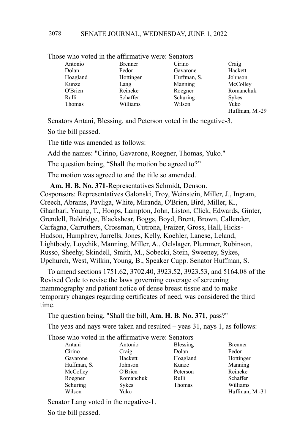|          | зе мно токса ні піс анніпипто мете, веникого |             |                |
|----------|----------------------------------------------|-------------|----------------|
| Antonio  | <b>Brenner</b>                               | Cirino      | Craig          |
| Dolan    | Fedor                                        | Gavarone    | Hackett        |
| Hoagland | Hottinger                                    | Huffman, S. | Johnson        |
| Kunze    | Lang                                         | Manning     | McColley       |
| O'Brien  | Reineke                                      | Roegner     | Romanchuk      |
| Rulli    | Schaffer                                     | Schuring    | Sykes          |
| Thomas   | Williams                                     | Wilson      | Yuko           |
|          |                                              |             | Huffman, M.-29 |

Those who voted in the affirmative were: Senators

Senators Antani, Blessing, and Peterson voted in the negative-3.

So the bill passed.

The title was amended as follows:

Add the names: "Cirino, Gavarone, Roegner, Thomas, Yuko."

The question being, "Shall the motion be agreed to?"

The motion was agreed to and the title so amended.

**Am. H. B. No. 371**-Representatives Schmidt, Denson. Cosponsors: Representatives Galonski, Troy, Weinstein, Miller, J., Ingram, Creech, Abrams, Pavliga, White, Miranda, O'Brien, Bird, Miller, K., Ghanbari, Young, T., Hoops, Lampton, John, Liston, Click, Edwards, Ginter, Grendell, Baldridge, Blackshear, Boggs, Boyd, Brent, Brown, Callender, Carfagna, Carruthers, Crossman, Cutrona, Fraizer, Gross, Hall, Hicks-Hudson, Humphrey, Jarrells, Jones, Kelly, Koehler, Lanese, Leland, Lightbody, Loychik, Manning, Miller, A., Oelslager, Plummer, Robinson, Russo, Sheehy, Skindell, Smith, M., Sobecki, Stein, Sweeney, Sykes, Upchurch, West, Wilkin, Young, B., Speaker Cupp. Senator Huffman, S.

To amend sections 1751.62, 3702.40, 3923.52, 3923.53, and 5164.08 of the Revised Code to revise the laws governing coverage of screening mammography and patient notice of dense breast tissue and to make temporary changes regarding certificates of need, was considered the third time.

The question being, "Shall the bill, **Am. H. B. No. 371**, pass?"

The yeas and nays were taken and resulted – yeas 31, nays 1, as follows:

Those who voted in the affirmative were: Senators

| Antani      | Antonio   | Blessing | <b>Brenner</b> |
|-------------|-----------|----------|----------------|
| Cirino      | Craig     | Dolan    | Fedor          |
| Gavarone    | Hackett   | Hoagland | Hottinger      |
| Huffman, S. | Johnson   | Kunze    | Manning        |
| McColley    | O'Brien   | Peterson | Reineke        |
| Roegner     | Romanchuk | Rulli    | Schaffer       |
| Schuring    | Sykes     | Thomas   | Williams       |
| Wilson      | Yuko      |          | Huffman,       |
|             |           |          |                |

Huffman, M.-31

Senator Lang voted in the negative-1.

So the bill passed.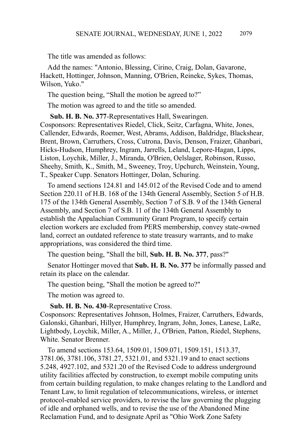The title was amended as follows:

Add the names: "Antonio, Blessing, Cirino, Craig, Dolan, Gavarone, Hackett, Hottinger, Johnson, Manning, O'Brien, Reineke, Sykes, Thomas, Wilson, Yuko."

The question being, "Shall the motion be agreed to?"

The motion was agreed to and the title so amended.

**Sub. H. B. No. 377**-Representatives Hall, Swearingen. Cosponsors: Representatives Riedel, Click, Seitz, Carfagna, White, Jones, Callender, Edwards, Roemer, West, Abrams, Addison, Baldridge, Blackshear, Brent, Brown, Carruthers, Cross, Cutrona, Davis, Denson, Fraizer, Ghanbari, Hicks-Hudson, Humphrey, Ingram, Jarrells, Leland, Lepore-Hagan, Lipps, Liston, Loychik, Miller, J., Miranda, O'Brien, Oelslager, Robinson, Russo, Sheehy, Smith, K., Smith, M., Sweeney, Troy, Upchurch, Weinstein, Young, T., Speaker Cupp. Senators Hottinger, Dolan, Schuring.

To amend sections 124.81 and 145.012 of the Revised Code and to amend Section 220.11 of H.B. 168 of the 134th General Assembly, Section 5 of H.B. 175 of the 134th General Assembly, Section 7 of S.B. 9 of the 134th General Assembly, and Section 7 of S.B. 11 of the 134th General Assembly to establish the Appalachian Community Grant Program, to specify certain election workers are excluded from PERS membership, convey state-owned land, correct an outdated reference to state treasury warrants, and to make appropriations, was considered the third time.

The question being, "Shall the bill, **Sub. H. B. No. 377**, pass?"

Senator Hottinger moved that **Sub. H. B. No. 377** be informally passed and retain its place on the calendar.

The question being, "Shall the motion be agreed to?"

The motion was agreed to.

**Sub. H. B. No. 430**-Representative Cross.

Cosponsors: Representatives Johnson, Holmes, Fraizer, Carruthers, Edwards, Galonski, Ghanbari, Hillyer, Humphrey, Ingram, John, Jones, Lanese, LaRe, Lightbody, Loychik, Miller, A., Miller, J., O'Brien, Patton, Riedel, Stephens, White. Senator Brenner.

To amend sections 153.64, 1509.01, 1509.071, 1509.151, 1513.37, 3781.06, 3781.106, 3781.27, 5321.01, and 5321.19 and to enact sections 5.248, 4927.102, and 5321.20 of the Revised Code to address underground utility facilities affected by construction, to exempt mobile computing units from certain building regulation, to make changes relating to the Landlord and Tenant Law, to limit regulation of telecommunications, wireless, or internet protocol-enabled service providers, to revise the law governing the plugging of idle and orphaned wells, and to revise the use of the Abandoned Mine Reclamation Fund, and to designate April as "Ohio Work Zone Safety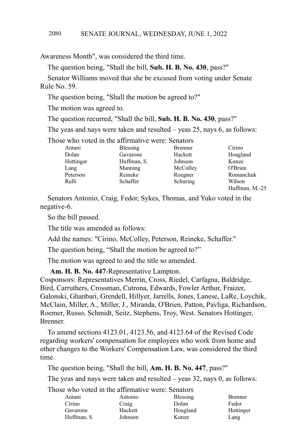Awareness Month", was considered the third time.

The question being, "Shall the bill, **Sub. H. B. No. 430**, pass?"

Senator Williams moved that she be excused from voting under Senate Rule No. 59.

The question being, "Shall the motion be agreed to?"

The motion was agreed to.

The question recurred, "Shall the bill, **Sub. H. B. No. 430**, pass?"

The yeas and nays were taken and resulted – yeas 25, nays 6, as follows:

Those who voted in the affirmative were: Senators

| Antani    | <b>Blessing</b> | <b>Brenner</b> | Cirino         |
|-----------|-----------------|----------------|----------------|
| Dolan     | Gavarone        | Hackett        | Hoagland       |
| Hottinger | Huffman, S.     | Johnson        | Kunze          |
| Lang      | Manning         | McColley       | O'Brien        |
| Peterson  | Reineke         | Roegner        | Romanchuk      |
| Rulli     | Schaffer        | Schuring       | Wilson         |
|           |                 |                | Huffman, M.-25 |

Senators Antonio, Craig, Fedor, Sykes, Thomas, and Yuko voted in the negative-6.

So the bill passed.

The title was amended as follows:

Add the names: "Cirino, McColley, Peterson, Reineke, Schaffer."

The question being, "Shall the motion be agreed to?"

The motion was agreed to and the title so amended.

**Am. H. B. No. 447**-Representative Lampton.

Cosponsors: Representatives Merrin, Cross, Riedel, Carfagna, Baldridge, Bird, Carruthers, Crossman, Cutrona, Edwards, Fowler Arthur, Fraizer, Galonski, Ghanbari, Grendell, Hillyer, Jarrells, Jones, Lanese, LaRe, Loychik, McClain, Miller, A., Miller, J., Miranda, O'Brien, Patton, Pavliga, Richardson, Roemer, Russo, Schmidt, Seitz, Stephens, Troy, West. Senators Hottinger, Brenner.

To amend sections 4123.01, 4123.56, and 4123.64 of the Revised Code regarding workers' compensation for employees who work from home and other changes to the Workers' Compensation Law, was considered the third time.

The question being, "Shall the bill, **Am. H. B. No. 447**, pass?"

The yeas and nays were taken and resulted – yeas 32, nays 0, as follows:

Those who voted in the affirmative were: Senators

| Antani      | Antonio | <b>Blessing</b> | <b>Brenner</b> |
|-------------|---------|-----------------|----------------|
| Cirino      | Craig   | Dolan           | Fedor          |
| Gavarone    | Hackett | Hoagland        | Hottinger      |
| Huffman, S. | Johnson | Kunze           | Lang           |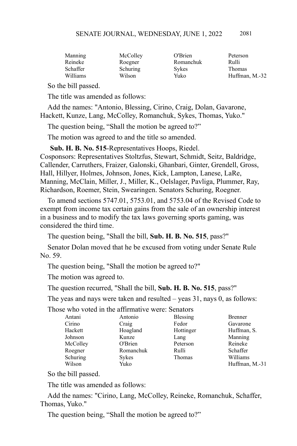| <b>Manning</b> | McColley | O'Brien   | Peterson       |
|----------------|----------|-----------|----------------|
| Reineke        | Roegner  | Romanchuk | Rulli          |
| Schaffer       | Schuring | Sykes     | Thomas         |
| Williams       | Wilson   | Yuko      | Huffman, M.-32 |

So the bill passed.

The title was amended as follows:

Add the names: "Antonio, Blessing, Cirino, Craig, Dolan, Gavarone, Hackett, Kunze, Lang, McColley, Romanchuk, Sykes, Thomas, Yuko."

The question being, "Shall the motion be agreed to?"

The motion was agreed to and the title so amended.

**Sub. H. B. No. 515**-Representatives Hoops, Riedel.

Cosponsors: Representatives Stoltzfus, Stewart, Schmidt, Seitz, Baldridge, Callender, Carruthers, Fraizer, Galonski, Ghanbari, Ginter, Grendell, Gross, Hall, Hillyer, Holmes, Johnson, Jones, Kick, Lampton, Lanese, LaRe, Manning, McClain, Miller, J., Miller, K., Oelslager, Pavliga, Plummer, Ray, Richardson, Roemer, Stein, Swearingen. Senators Schuring, Roegner.

To amend sections 5747.01, 5753.01, and 5753.04 of the Revised Code to exempt from income tax certain gains from the sale of an ownership interest in a business and to modify the tax laws governing sports gaming, was considered the third time.

The question being, "Shall the bill, **Sub. H. B. No. 515**, pass?"

Senator Dolan moved that he be excused from voting under Senate Rule No. 59.

The question being, "Shall the motion be agreed to?"

The motion was agreed to.

The question recurred, "Shall the bill, **Sub. H. B. No. 515**, pass?"

The yeas and nays were taken and resulted – yeas 31, nays 0, as follows:

Those who voted in the affirmative were: Senators

| Antani   | Antonio   | <b>Blessing</b> | <b>Brenner</b> |
|----------|-----------|-----------------|----------------|
| Cirino   | Craig     | Fedor           | Gavarone       |
| Hackett  | Hoagland  | Hottinger       | Huffman, S.    |
| Johnson  | Kunze     | Lang            | Manning        |
| McColley | O'Brien   | Peterson        | Reineke        |
| Roegner  | Romanchuk | Rulli           | Schaffer       |
| Schuring | Sykes     | Thomas          | Williams       |
| Wilson   | Yuko      |                 | Huffman, M.-31 |

So the bill passed.

The title was amended as follows:

Add the names: "Cirino, Lang, McColley, Reineke, Romanchuk, Schaffer, Thomas, Yuko."

The question being, "Shall the motion be agreed to?"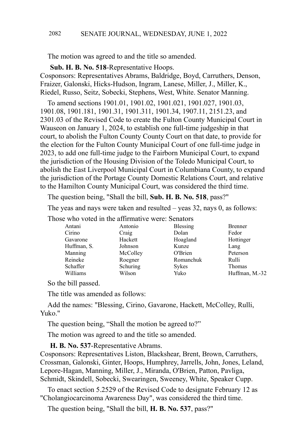The motion was agreed to and the title so amended.

**Sub. H. B. No. 518**-Representative Hoops.

Cosponsors: Representatives Abrams, Baldridge, Boyd, Carruthers, Denson, Fraizer, Galonski, Hicks-Hudson, Ingram, Lanese, Miller, J., Miller, K., Riedel, Russo, Seitz, Sobecki, Stephens, West, White. Senator Manning.

To amend sections 1901.01, 1901.02, 1901.021, 1901.027, 1901.03, 1901.08, 1901.181, 1901.31, 1901.311, 1901.34, 1907.11, 2151.23, and 2301.03 of the Revised Code to create the Fulton County Municipal Court in Wauseon on January 1, 2024, to establish one full-time judgeship in that court, to abolish the Fulton County County Court on that date, to provide for the election for the Fulton County Municipal Court of one full-time judge in 2023, to add one full-time judge to the Fairborn Municipal Court, to expand the jurisdiction of the Housing Division of the Toledo Municipal Court, to abolish the East Liverpool Municipal Court in Columbiana County, to expand the jurisdiction of the Portage County Domestic Relations Court, and relative to the Hamilton County Municipal Court, was considered the third time.

The question being, "Shall the bill, **Sub. H. B. No. 518**, pass?"

The yeas and nays were taken and resulted – yeas 32, nays 0, as follows:

Those who voted in the affirmative were: Senators

| Antani      | Antonio  | <b>Blessing</b> | <b>Brenner</b> |
|-------------|----------|-----------------|----------------|
| Cirino      | Craig    | Dolan           | Fedor          |
| Gavarone    | Hackett  | Hoagland        | Hottinger      |
| Huffman, S. | Johnson  | Kunze           | Lang           |
| Manning     | McColley | O'Brien         | Peterson       |
| Reineke     | Roegner  | Romanchuk       | Rulli          |
| Schaffer    | Schuring | Sykes           | Thomas         |
| Williams    | Wilson   | Yuko            | Huffman, M.-32 |

So the bill passed.

The title was amended as follows:

Add the names: "Blessing, Cirino, Gavarone, Hackett, McColley, Rulli, Yuko."

The question being, "Shall the motion be agreed to?"

The motion was agreed to and the title so amended.

**H. B. No. 537**-Representative Abrams.

Cosponsors: Representatives Liston, Blackshear, Brent, Brown, Carruthers, Crossman, Galonski, Ginter, Hoops, Humphrey, Jarrells, John, Jones, Leland, Lepore-Hagan, Manning, Miller, J., Miranda, O'Brien, Patton, Pavliga, Schmidt, Skindell, Sobecki, Swearingen, Sweeney, White, Speaker Cupp.

To enact section 5.2529 of the Revised Code to designate February 12 as "Cholangiocarcinoma Awareness Day", was considered the third time.

The question being, "Shall the bill, **H. B. No. 537**, pass?"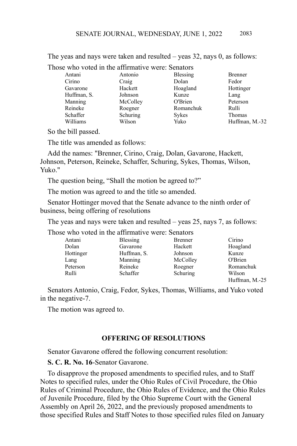The yeas and nays were taken and resulted – yeas 32, nays 0, as follows:

Those who voted in the affirmative were: Senators

Antani Antonio Blessing Brenner Cirino Craig Dolan Fedor Gavarone Hackett Hoagland Hottinger Huffman, S. Johnson Kunze Lang Manning McColley O'Brien Peterson Reineke Roegner Romanchuk Rulli Schaffer Schuring Sykes Thomas<br>
Williams Wilson Yuko Huffmar

Wilson Yuko Huffman, M.-32

So the bill passed.

The title was amended as follows:

Add the names: "Brenner, Cirino, Craig, Dolan, Gavarone, Hackett, Johnson, Peterson, Reineke, Schaffer, Schuring, Sykes, Thomas, Wilson, Yuko."

The question being, "Shall the motion be agreed to?"

The motion was agreed to and the title so amended.

Senator Hottinger moved that the Senate advance to the ninth order of business, being offering of resolutions

The yeas and nays were taken and resulted – yeas 25, nays 7, as follows:

Those who voted in the affirmative were: Senators

| Antani    | <b>Blessing</b> | <b>Brenner</b> | Cirino         |
|-----------|-----------------|----------------|----------------|
| Dolan     | Gavarone        | Hackett        | Hoagland       |
| Hottinger | Huffman, S.     | Johnson        | Kunze          |
| Lang      | Manning         | McColley       | O'Brien        |
| Peterson  | Reineke         | Roegner        | Romanchuk      |
| Rulli     | Schaffer        | Schuring       | Wilson         |
|           |                 |                | Huffman, M.-25 |

Senators Antonio, Craig, Fedor, Sykes, Thomas, Williams, and Yuko voted in the negative-7.

The motion was agreed to.

#### **OFFERING OF RESOLUTIONS**

Senator Gavarone offered the following concurrent resolution:

**S. C. R. No. 16**-Senator Gavarone.

To disapprove the proposed amendments to specified rules, and to Staff Notes to specified rules, under the Ohio Rules of Civil Procedure, the Ohio Rules of Criminal Procedure, the Ohio Rules of Evidence, and the Ohio Rules of Juvenile Procedure, filed by the Ohio Supreme Court with the General Assembly on April 26, 2022, and the previously proposed amendments to those specified Rules and Staff Notes to those specified rules filed on January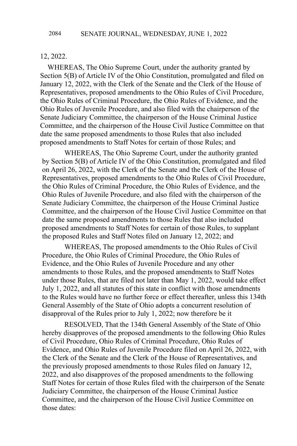#### 12, 2022.

WHEREAS, The Ohio Supreme Court, under the authority granted by Section 5(B) of Article IV of the Ohio Constitution, promulgated and filed on January 12, 2022, with the Clerk of the Senate and the Clerk of the House of Representatives, proposed amendments to the Ohio Rules of Civil Procedure, the Ohio Rules of Criminal Procedure, the Ohio Rules of Evidence, and the Ohio Rules of Juvenile Procedure, and also filed with the chairperson of the Senate Judiciary Committee, the chairperson of the House Criminal Justice Committee, and the chairperson of the House Civil Justice Committee on that date the same proposed amendments to those Rules that also included proposed amendments to Staff Notes for certain of those Rules; and

WHEREAS, The Ohio Supreme Court, under the authority granted by Section 5(B) of Article IV of the Ohio Constitution, promulgated and filed on April 26, 2022, with the Clerk of the Senate and the Clerk of the House of Representatives, proposed amendments to the Ohio Rules of Civil Procedure, the Ohio Rules of Criminal Procedure, the Ohio Rules of Evidence, and the Ohio Rules of Juvenile Procedure, and also filed with the chairperson of the Senate Judiciary Committee, the chairperson of the House Criminal Justice Committee, and the chairperson of the House Civil Justice Committee on that date the same proposed amendments to those Rules that also included proposed amendments to Staff Notes for certain of those Rules, to supplant the proposed Rules and Staff Notes filed on January 12, 2022; and

WHEREAS, The proposed amendments to the Ohio Rules of Civil Procedure, the Ohio Rules of Criminal Procedure, the Ohio Rules of Evidence, and the Ohio Rules of Juvenile Procedure and any other amendments to those Rules, and the proposed amendments to Staff Notes under those Rules, that are filed not later than May 1, 2022, would take effect July 1, 2022, and all statutes of this state in conflict with those amendments to the Rules would have no further force or effect thereafter, unless this 134th General Assembly of the State of Ohio adopts a concurrent resolution of disapproval of the Rules prior to July 1, 2022; now therefore be it

RESOLVED, That the 134th General Assembly of the State of Ohio hereby disapproves of the proposed amendments to the following Ohio Rules of Civil Procedure, Ohio Rules of Criminal Procedure, Ohio Rules of Evidence, and Ohio Rules of Juvenile Procedure filed on April 26, 2022, with the Clerk of the Senate and the Clerk of the House of Representatives, and the previously proposed amendments to those Rules filed on January 12, 2022, and also disapproves of the proposed amendments to the following Staff Notes for certain of those Rules filed with the chairperson of the Senate Judiciary Committee, the chairperson of the House Criminal Justice Committee, and the chairperson of the House Civil Justice Committee on those dates: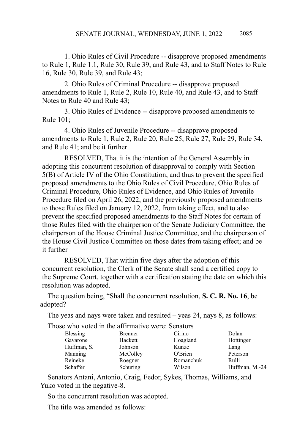1. Ohio Rules of Civil Procedure -- disapprove proposed amendments to Rule 1, Rule 1.1, Rule 30, Rule 39, and Rule 43, and to Staff Notes to Rule 16, Rule 30, Rule 39, and Rule 43;

2. Ohio Rules of Criminal Procedure -- disapprove proposed amendments to Rule 1, Rule 2, Rule 10, Rule 40, and Rule 43, and to Staff Notes to Rule 40 and Rule 43;

3. Ohio Rules of Evidence -- disapprove proposed amendments to Rule 101;

4. Ohio Rules of Juvenile Procedure -- disapprove proposed amendments to Rule 1, Rule 2, Rule 20, Rule 25, Rule 27, Rule 29, Rule 34, and Rule 41; and be it further

RESOLVED, That it is the intention of the General Assembly in adopting this concurrent resolution of disapproval to comply with Section 5(B) of Article IV of the Ohio Constitution, and thus to prevent the specified proposed amendments to the Ohio Rules of Civil Procedure, Ohio Rules of Criminal Procedure, Ohio Rules of Evidence, and Ohio Rules of Juvenile Procedure filed on April 26, 2022, and the previously proposed amendments to those Rules filed on January 12, 2022, from taking effect, and to also prevent the specified proposed amendments to the Staff Notes for certain of those Rules filed with the chairperson of the Senate Judiciary Committee, the chairperson of the House Criminal Justice Committee, and the chairperson of the House Civil Justice Committee on those dates from taking effect; and be it further

RESOLVED, That within five days after the adoption of this concurrent resolution, the Clerk of the Senate shall send a certified copy to the Supreme Court, together with a certification stating the date on which this resolution was adopted.

The question being, "Shall the concurrent resolution, **S. C. R. No. 16**, be adopted?

The yeas and nays were taken and resulted – yeas 24, nays 8, as follows:

Those who voted in the affirmative were: Senators

| <b>Brenner</b> | Cirino    | Dolan          |
|----------------|-----------|----------------|
| Hackett        | Hoagland  | Hottinger      |
| Johnson        | Kunze     | Lang           |
| McColley       | O'Brien   | Peterson       |
| Roegner        | Romanchuk | Rulli          |
| Schuring       | Wilson    | Huffman, M.-24 |
|                |           |                |

Senators Antani, Antonio, Craig, Fedor, Sykes, Thomas, Williams, and Yuko voted in the negative-8.

So the concurrent resolution was adopted.

The title was amended as follows: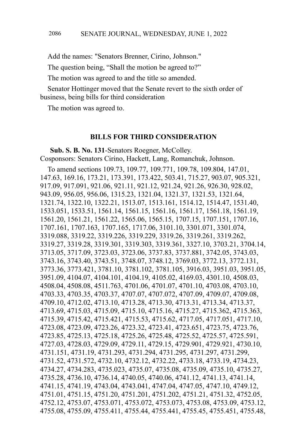Add the names: "Senators Brenner, Cirino, Johnson."

The question being, "Shall the motion be agreed to?"

The motion was agreed to and the title so amended.

Senator Hottinger moved that the Senate revert to the sixth order of business, being bills for third consideration

The motion was agreed to.

#### **BILLS FOR THIRD CONSIDERATION**

**Sub. S. B. No. 131**-Senators Roegner, McColley. Cosponsors: Senators Cirino, Hackett, Lang, Romanchuk, Johnson.

To amend sections 109.73, 109.77, 109.771, 109.78, 109.804, 147.01, 147.63, 169.16, 173.21, 173.391, 173.422, 503.41, 715.27, 903.07, 905.321, 917.09, 917.091, 921.06, 921.11, 921.12, 921.24, 921.26, 926.30, 928.02, 943.09, 956.05, 956.06, 1315.23, 1321.04, 1321.37, 1321.53, 1321.64, 1321.74, 1322.10, 1322.21, 1513.07, 1513.161, 1514.12, 1514.47, 1531.40, 1533.051, 1533.51, 1561.14, 1561.15, 1561.16, 1561.17, 1561.18, 1561.19, 1561.20, 1561.21, 1561.22, 1565.06, 1565.15, 1707.15, 1707.151, 1707.16, 1707.161, 1707.163, 1707.165, 1717.06, 3101.10, 3301.071, 3301.074, 3319.088, 3319.22, 3319.226, 3319.229, 3319.26, 3319.261, 3319.262, 3319.27, 3319.28, 3319.301, 3319.303, 3319.361, 3327.10, 3703.21, 3704.14, 3713.05, 3717.09, 3723.03, 3723.06, 3737.83, 3737.881, 3742.05, 3743.03, 3743.16, 3743.40, 3743.51, 3748.07, 3748.12, 3769.03, 3772.13, 3772.131, 3773.36, 3773.421, 3781.10, 3781.102, 3781.105, 3916.03, 3951.03, 3951.05, 3951.09, 4104.07, 4104.101, 4104.19, 4105.02, 4169.03, 4301.10, 4508.03, 4508.04, 4508.08, 4511.763, 4701.06, 4701.07, 4701.10, 4703.08, 4703.10, 4703.33, 4703.35, 4703.37, 4707.07, 4707.072, 4707.09, 4709.07, 4709.08, 4709.10, 4712.02, 4713.10, 4713.28, 4713.30, 4713.31, 4713.34, 4713.37, 4713.69, 4715.03, 4715.09, 4715.10, 4715.16, 4715.27, 4715.362, 4715.363, 4715.39, 4715.42, 4715.421, 4715.53, 4715.62, 4717.05, 4717.051, 4717.10, 4723.08, 4723.09, 4723.26, 4723.32, 4723.41, 4723.651, 4723.75, 4723.76, 4723.85, 4725.13, 4725.18, 4725.26, 4725.48, 4725.52, 4725.57, 4725.591, 4727.03, 4728.03, 4729.09, 4729.11, 4729.15, 4729.901, 4729.921, 4730.10, 4731.151, 4731.19, 4731.293, 4731.294, 4731.295, 4731.297, 4731.299, 4731.52, 4731.572, 4732.10, 4732.12, 4732.22, 4733.18, 4733.19, 4734.23, 4734.27, 4734.283, 4735.023, 4735.07, 4735.08, 4735.09, 4735.10, 4735.27, 4735.28, 4736.10, 4736.14, 4740.05, 4740.06, 4741.12, 4741.13, 4741.14, 4741.15, 4741.19, 4743.04, 4743.041, 4747.04, 4747.05, 4747.10, 4749.12, 4751.01, 4751.15, 4751.20, 4751.201, 4751.202, 4751.21, 4751.32, 4752.05, 4752.12, 4753.07, 4753.071, 4753.072, 4753.073, 4753.08, 4753.09, 4753.12, 4755.08, 4755.09, 4755.411, 4755.44, 4755.441, 4755.45, 4755.451, 4755.48,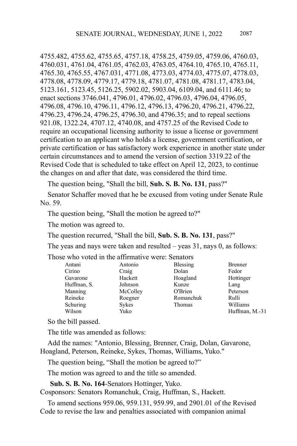4755.482, 4755.62, 4755.65, 4757.18, 4758.25, 4759.05, 4759.06, 4760.03, 4760.031, 4761.04, 4761.05, 4762.03, 4763.05, 4764.10, 4765.10, 4765.11, 4765.30, 4765.55, 4767.031, 4771.08, 4773.03, 4774.03, 4775.07, 4778.03, 4778.08, 4778.09, 4779.17, 4779.18, 4781.07, 4781.08, 4781.17, 4783.04, 5123.161, 5123.45, 5126.25, 5902.02, 5903.04, 6109.04, and 6111.46; to enact sections 3746.041, 4796.01, 4796.02, 4796.03, 4796.04, 4796.05, 4796.08, 4796.10, 4796.11, 4796.12, 4796.13, 4796.20, 4796.21, 4796.22, 4796.23, 4796.24, 4796.25, 4796.30, and 4796.35; and to repeal sections 921.08, 1322.24, 4707.12, 4740.08, and 4757.25 of the Revised Code to require an occupational licensing authority to issue a license or government certification to an applicant who holds a license, government certification, or private certification or has satisfactory work experience in another state under certain circumstances and to amend the version of section 3319.22 of the Revised Code that is scheduled to take effect on April 12, 2023, to continue the changes on and after that date, was considered the third time.

The question being, "Shall the bill, **Sub. S. B. No. 131**, pass?"

Senator Schaffer moved that he be excused from voting under Senate Rule No. 59.

The question being, "Shall the motion be agreed to?"

The motion was agreed to.

The question recurred, "Shall the bill, **Sub. S. B. No. 131**, pass?"

The yeas and nays were taken and resulted – yeas 31, nays 0, as follows:

Those who voted in the affirmative were: Senators

| Antani      | Antonio      | Blessing  | <b>Brenner</b> |
|-------------|--------------|-----------|----------------|
| Cirino      | Craig        | Dolan     | Fedor          |
| Gavarone    | Hackett      | Hoagland  | Hottinger      |
| Huffman, S. | Johnson      | Kunze     | Lang           |
| Manning     | McColley     | O'Brien   | Peterson       |
| Reineke     | Roegner      | Romanchuk | Rulli          |
| Schuring    | <b>Sykes</b> | Thomas    | Williams       |
| Wilson      | Yuko         |           | Huffman, M.-31 |
|             |              |           |                |

So the bill passed.

The title was amended as follows:

Add the names: "Antonio, Blessing, Brenner, Craig, Dolan, Gavarone, Hoagland, Peterson, Reineke, Sykes, Thomas, Williams, Yuko."

The question being, "Shall the motion be agreed to?"

The motion was agreed to and the title so amended.

**Sub. S. B. No. 164**-Senators Hottinger, Yuko.

Cosponsors: Senators Romanchuk, Craig, Huffman, S., Hackett.

To amend sections 959.06, 959.131, 959.99, and 2901.01 of the Revised Code to revise the law and penalties associated with companion animal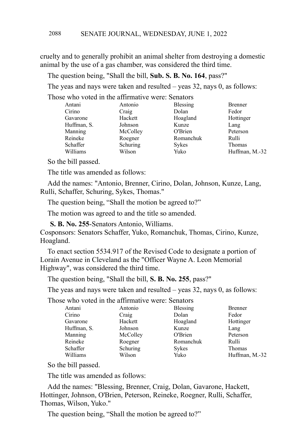cruelty and to generally prohibit an animal shelter from destroying a domestic animal by the use of a gas chamber, was considered the third time.

The question being, "Shall the bill, **Sub. S. B. No. 164**, pass?"

The yeas and nays were taken and resulted – yeas 32, nays 0, as follows:

Those who voted in the affirmative were: Senators

| Antani      | Antonio  | <b>Blessing</b> | <b>Brenner</b> |
|-------------|----------|-----------------|----------------|
| Cirino      | Craig    | Dolan           | Fedor          |
| Gavarone    | Hackett  | Hoagland        | Hottinger      |
| Huffman, S. | Johnson  | Kunze           | Lang           |
| Manning     | McColley | O'Brien         | Peterson       |
| Reineke     | Roegner  | Romanchuk       | Rulli          |
| Schaffer    | Schuring | <b>Sykes</b>    | Thomas         |
| Williams    | Wilson   | Yuko            | Huffman, M.-32 |

So the bill passed.

The title was amended as follows:

Add the names: "Antonio, Brenner, Cirino, Dolan, Johnson, Kunze, Lang, Rulli, Schaffer, Schuring, Sykes, Thomas."

The question being, "Shall the motion be agreed to?"

The motion was agreed to and the title so amended.

**S. B. No. 255**-Senators Antonio, Williams.

Cosponsors: Senators Schaffer, Yuko, Romanchuk, Thomas, Cirino, Kunze, Hoagland.

To enact section 5534.917 of the Revised Code to designate a portion of Lorain Avenue in Cleveland as the "Officer Wayne A. Leon Memorial Highway", was considered the third time.

The question being, "Shall the bill, **S. B. No. 255**, pass?"

The yeas and nays were taken and resulted – yeas 32, nays 0, as follows:

Those who voted in the affirmative were: Senators

| Antani      | Antonio  | <b>Blessing</b> | <b>Brenner</b> |
|-------------|----------|-----------------|----------------|
| Cirino      | Craig    | Dolan           | Fedor          |
| Gavarone    | Hackett  | Hoagland        | Hottinger      |
| Huffman, S. | Johnson  | Kunze           | Lang           |
| Manning     | McColley | O'Brien         | Peterson       |
| Reineke     | Roegner  | Romanchuk       | Rulli          |
| Schaffer    | Schuring | Sykes           | Thomas         |
| Williams    | Wilson   | Yuko            | Huffman, M.-32 |

So the bill passed.

The title was amended as follows:

Add the names: "Blessing, Brenner, Craig, Dolan, Gavarone, Hackett, Hottinger, Johnson, O'Brien, Peterson, Reineke, Roegner, Rulli, Schaffer, Thomas, Wilson, Yuko."

The question being, "Shall the motion be agreed to?"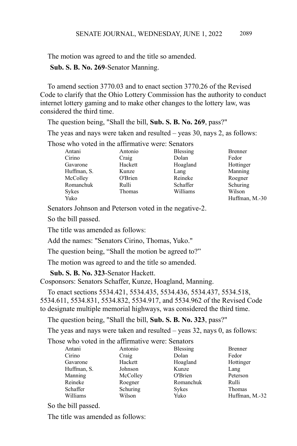The motion was agreed to and the title so amended.

**Sub. S. B. No. 269**-Senator Manning.

To amend section 3770.03 and to enact section 3770.26 of the Revised Code to clarify that the Ohio Lottery Commission has the authority to conduct internet lottery gaming and to make other changes to the lottery law, was considered the third time.

The question being, "Shall the bill, **Sub. S. B. No. 269**, pass?"

The yeas and nays were taken and resulted – yeas 30, nays 2, as follows:

Those who voted in the affirmative were: Senators

| Antani      | Antonio | <b>Blessing</b> | <b>Brenner</b> |
|-------------|---------|-----------------|----------------|
| Cirino      | Craig   | Dolan           | Fedor          |
| Gavarone    | Hackett | Hoagland        | Hottinger      |
| Huffman, S. | Kunze   | Lang            | Manning        |
| McColley    | O'Brien | Reineke         | Roegner        |
| Romanchuk   | Rulli   | Schaffer        | Schuring       |
| Sykes       | Thomas  | Williams        | Wilson         |
| Yuko        |         |                 | Huffman, M.-30 |
|             |         |                 |                |

Senators Johnson and Peterson voted in the negative-2.

So the bill passed.

The title was amended as follows:

Add the names: "Senators Cirino, Thomas, Yuko."

The question being, "Shall the motion be agreed to?"

The motion was agreed to and the title so amended.

**Sub. S. B. No. 323**-Senator Hackett.

Cosponsors: Senators Schaffer, Kunze, Hoagland, Manning.

To enact sections 5534.421, 5534.435, 5534.436, 5534.437, 5534.518, 5534.611, 5534.831, 5534.832, 5534.917, and 5534.962 of the Revised Code to designate multiple memorial highways, was considered the third time.

The question being, "Shall the bill, **Sub. S. B. No. 323**, pass?"

The yeas and nays were taken and resulted – yeas 32, nays 0, as follows:

Those who voted in the affirmative were: Senators

| Antani      | Antonio  | <b>Blessing</b> | <b>Brenner</b> |
|-------------|----------|-----------------|----------------|
| Cirino      | Craig    | Dolan           | Fedor          |
| Gavarone    | Hackett  | Hoagland        | Hottinger      |
| Huffman, S. | Johnson  | Kunze           | Lang           |
| Manning     | McColley | O'Brien         | Peterson       |
| Reineke     | Roegner  | Romanchuk       | Rulli          |
| Schaffer    | Schuring | Sykes           | Thomas         |
| Williams    | Wilson   | Yuko            | Huffman, M.-32 |

So the bill passed.

The title was amended as follows: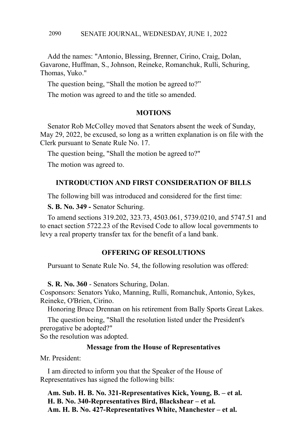Add the names: "Antonio, Blessing, Brenner, Cirino, Craig, Dolan, Gavarone, Huffman, S., Johnson, Reineke, Romanchuk, Rulli, Schuring, Thomas, Yuko."

The question being, "Shall the motion be agreed to?"

The motion was agreed to and the title so amended.

#### **MOTIONS**

Senator Rob McColley moved that Senators absent the week of Sunday, May 29, 2022, be excused, so long as a written explanation is on file with the Clerk pursuant to Senate Rule No. 17.

The question being, "Shall the motion be agreed to?"

The motion was agreed to.

# **INTRODUCTION AND FIRST CONSIDERATION OF BILLS**

The following bill was introduced and considered for the first time:

**S. B. No. 349 -** Senator Schuring.

To amend sections 319.202, 323.73, 4503.061, 5739.0210, and 5747.51 and to enact section 5722.23 of the Revised Code to allow local governments to levy a real property transfer tax for the benefit of a land bank.

#### **OFFERING OF RESOLUTIONS**

Pursuant to Senate Rule No. 54, the following resolution was offered:

**S. R. No. 360** - Senators Schuring, Dolan.

Cosponsors: Senators Yuko, Manning, Rulli, Romanchuk, Antonio, Sykes, Reineke, O'Brien, Cirino.

Honoring Bruce Drennan on his retirement from Bally Sports Great Lakes.

The question being, "Shall the resolution listed under the President's prerogative be adopted?"

So the resolution was adopted.

#### **Message from the House of Representatives**

Mr. President:

I am directed to inform you that the Speaker of the House of Representatives has signed the following bills:

**Am. Sub. H. B. No. 321-Representatives Kick, Young, B. – et al. H. B. No. 340-Representatives Bird, Blackshear – et al. Am. H. B. No. 427-Representatives White, Manchester – et al.**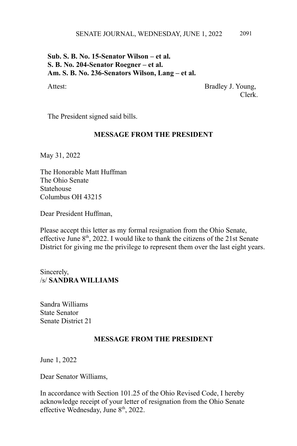# **Sub. S. B. No. 15-Senator Wilson – et al. S. B. No. 204-Senator Roegner – et al. Am. S. B. No. 236-Senators Wilson, Lang – et al.**

Attest: Bradley J. Young, Clerk.

The President signed said bills.

# **MESSAGE FROM THE PRESIDENT**

May 31, 2022

The Honorable Matt Huffman The Ohio Senate Statehouse Columbus OH 43215

Dear President Huffman,

Please accept this letter as my formal resignation from the Ohio Senate, effective June  $8<sup>th</sup>$ , 2022. I would like to thank the citizens of the 21st Senate District for giving me the privilege to represent them over the last eight years.

Sincerely, /s/ **SANDRA WILLIAMS**

Sandra Williams State Senator Senate District 21

# **MESSAGE FROM THE PRESIDENT**

June 1, 2022

Dear Senator Williams,

In accordance with Section 101.25 of the Ohio Revised Code, I hereby acknowledge receipt of your letter of resignation from the Ohio Senate effective Wednesday, June 8<sup>th</sup>, 2022.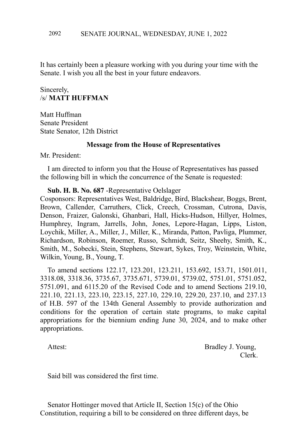It has certainly been a pleasure working with you during your time with the Senate. I wish you all the best in your future endeavors.

# Sincerely, /s/ **MATT HUFFMAN**

Matt Huffman Senate President State Senator, 12th District

#### **Message from the House of Representatives**

Mr. President:

I am directed to inform you that the House of Representatives has passed the following bill in which the concurrence of the Senate is requested:

**Sub. H. B. No. 687** -Representative Oelslager

Cosponsors: Representatives West, Baldridge, Bird, Blackshear, Boggs, Brent, Brown, Callender, Carruthers, Click, Creech, Crossman, Cutrona, Davis, Denson, Fraizer, Galonski, Ghanbari, Hall, Hicks-Hudson, Hillyer, Holmes, Humphrey, Ingram, Jarrells, John, Jones, Lepore-Hagan, Lipps, Liston, Loychik, Miller, A., Miller, J., Miller, K., Miranda, Patton, Pavliga, Plummer, Richardson, Robinson, Roemer, Russo, Schmidt, Seitz, Sheehy, Smith, K., Smith, M., Sobecki, Stein, Stephens, Stewart, Sykes, Troy, Weinstein, White, Wilkin, Young, B., Young, T.

To amend sections 122.17, 123.201, 123.211, 153.692, 153.71, 1501.011, 3318.08, 3318.36, 3735.67, 3735.671, 5739.01, 5739.02, 5751.01, 5751.052, 5751.091, and 6115.20 of the Revised Code and to amend Sections 219.10, 221.10, 221.13, 223.10, 223.15, 227.10, 229.10, 229.20, 237.10, and 237.13 of H.B. 597 of the 134th General Assembly to provide authorization and conditions for the operation of certain state programs, to make capital appropriations for the biennium ending June 30, 2024, and to make other appropriations.

Attest: Bradley J. Young, Clerk.

Said bill was considered the first time.

Senator Hottinger moved that Article II, Section 15(c) of the Ohio Constitution, requiring a bill to be considered on three different days, be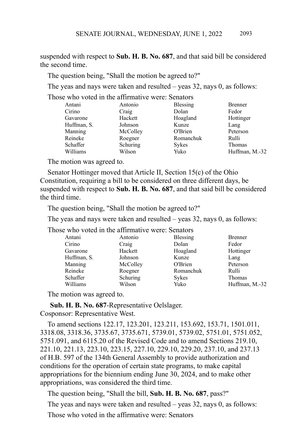suspended with respect to **Sub. H. B. No. 687**, and that said bill be considered the second time.

The question being, "Shall the motion be agreed to?"

The yeas and nays were taken and resulted – yeas 32, nays 0, as follows:

Those who voted in the affirmative were: Senators

| Antani      | Antonio  | <b>Blessing</b> | <b>Brenner</b> |
|-------------|----------|-----------------|----------------|
| Cirino      | Craig    | Dolan           | Fedor          |
| Gavarone    | Hackett  | Hoagland        | Hottinger      |
| Huffman, S. | Johnson  | Kunze           | Lang           |
| Manning     | McColley | O'Brien         | Peterson       |
| Reineke     | Roegner  | Romanchuk       | Rulli          |
| Schaffer    | Schuring | <b>Sykes</b>    | Thomas         |
| Williams    | Wilson   | Yuko            | Huffman, M.-32 |

The motion was agreed to.

Senator Hottinger moved that Article II, Section 15(c) of the Ohio Constitution, requiring a bill to be considered on three different days, be suspended with respect to **Sub. H. B. No. 687**, and that said bill be considered the third time.

The question being, "Shall the motion be agreed to?"

The yeas and nays were taken and resulted – yeas 32, nays 0, as follows:

Those who voted in the affirmative were: Senators

| Antani      | Antonio  | <b>Blessing</b> | <b>Brenner</b> |
|-------------|----------|-----------------|----------------|
| Cirino      | Craig    | Dolan           | Fedor          |
| Gavarone    | Hackett  | Hoagland        | Hottinger      |
| Huffman, S. | Johnson  | Kunze           | Lang           |
| Manning     | McColley | O'Brien         | Peterson       |
| Reineke     | Roegner  | Romanchuk       | Rulli          |
| Schaffer    | Schuring | Sykes           | Thomas         |
| Williams    | Wilson   | Yuko            | Huffman, M.-32 |
|             |          |                 |                |

The motion was agreed to.

**Sub. H. B. No. 687**-Representative Oelslager. Cosponsor: Representative West.

To amend sections 122.17, 123.201, 123.211, 153.692, 153.71, 1501.011, 3318.08, 3318.36, 3735.67, 3735.671, 5739.01, 5739.02, 5751.01, 5751.052, 5751.091, and 6115.20 of the Revised Code and to amend Sections 219.10, 221.10, 221.13, 223.10, 223.15, 227.10, 229.10, 229.20, 237.10, and 237.13 of H.B. 597 of the 134th General Assembly to provide authorization and conditions for the operation of certain state programs, to make capital appropriations for the biennium ending June 30, 2024, and to make other appropriations, was considered the third time.

The question being, "Shall the bill, **Sub. H. B. No. 687**, pass?"

The yeas and nays were taken and resulted – yeas 32, nays 0, as follows:

Those who voted in the affirmative were: Senators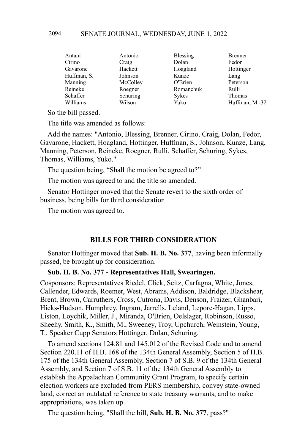| Antani      | Antonio  | Blessing  | <b>Brenner</b> |
|-------------|----------|-----------|----------------|
| Cirino      | Craig    | Dolan     | Fedor          |
| Gavarone    | Hackett  | Hoagland  | Hottinger      |
| Huffman, S. | Johnson  | Kunze     | Lang           |
| Manning     | McColley | O'Brien   | Peterson       |
| Reineke     | Roegner  | Romanchuk | Rulli          |
| Schaffer    | Schuring | Sykes     | Thomas         |
| Williams    | Wilson   | Yuko      | Huffman, M.-32 |
|             |          |           |                |

So the bill passed.

The title was amended as follows:

Add the names: "Antonio, Blessing, Brenner, Cirino, Craig, Dolan, Fedor, Gavarone, Hackett, Hoagland, Hottinger, Huffman, S., Johnson, Kunze, Lang, Manning, Peterson, Reineke, Roegner, Rulli, Schaffer, Schuring, Sykes, Thomas, Williams, Yuko."

The question being, "Shall the motion be agreed to?"

The motion was agreed to and the title so amended.

Senator Hottinger moved that the Senate revert to the sixth order of business, being bills for third consideration

The motion was agreed to.

#### **BILLS FOR THIRD CONSIDERATION**

Senator Hottinger moved that **Sub. H. B. No. 377**, having been informally passed, be brought up for consideration.

#### **Sub. H. B. No. 377 - Representatives Hall, Swearingen.**

Cosponsors: Representatives Riedel, Click, Seitz, Carfagna, White, Jones, Callender, Edwards, Roemer, West, Abrams, Addison, Baldridge, Blackshear, Brent, Brown, Carruthers, Cross, Cutrona, Davis, Denson, Fraizer, Ghanbari, Hicks-Hudson, Humphrey, Ingram, Jarrells, Leland, Lepore-Hagan, Lipps, Liston, Loychik, Miller, J., Miranda, O'Brien, Oelslager, Robinson, Russo, Sheehy, Smith, K., Smith, M., Sweeney, Troy, Upchurch, Weinstein, Young, T., Speaker Cupp Senators Hottinger, Dolan, Schuring.

To amend sections 124.81 and 145.012 of the Revised Code and to amend Section 220.11 of H.B. 168 of the 134th General Assembly, Section 5 of H.B. 175 of the 134th General Assembly, Section 7 of S.B. 9 of the 134th General Assembly, and Section 7 of S.B. 11 of the 134th General Assembly to establish the Appalachian Community Grant Program, to specify certain election workers are excluded from PERS membership, convey state-owned land, correct an outdated reference to state treasury warrants, and to make appropriations, was taken up.

The question being, "Shall the bill, **Sub. H. B. No. 377**, pass?"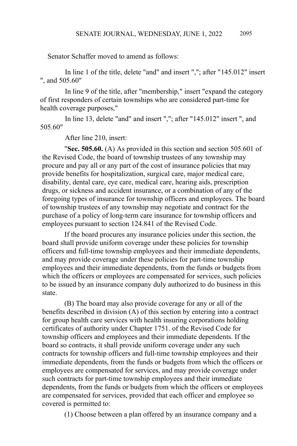Senator Schaffer moved to amend as follows:

In line 1 of the title, delete "and" and insert ","; after "145.012" insert ", and 505.60"

In line 9 of the title, after "membership," insert "expand the category of first responders of certain townships who are considered part-time for health coverage purposes,"

In line 13, delete "and" and insert ","; after "145.012" insert ", and 505.60"

After line 210, insert:

"**Sec. 505.60.** (A) As provided in this section and section 505.601 of the Revised Code, the board of township trustees of any township may procure and pay all or any part of the cost of insurance policies that may provide benefits for hospitalization, surgical care, major medical care, disability, dental care, eye care, medical care, hearing aids, prescription drugs, or sickness and accident insurance, or a combination of any of the foregoing types of insurance for township officers and employees. The board of township trustees of any township may negotiate and contract for the purchase of a policy of long-term care insurance for township officers and employees pursuant to section 124.841 of the Revised Code.

If the board procures any insurance policies under this section, the board shall provide uniform coverage under these policies for township officers and full-time township employees and their immediate dependents, and may provide coverage under these policies for part-time township employees and their immediate dependents, from the funds or budgets from which the officers or employees are compensated for services, such policies to be issued by an insurance company duly authorized to do business in this state.

(B) The board may also provide coverage for any or all of the benefits described in division (A) of this section by entering into a contract for group health care services with health insuring corporations holding certificates of authority under Chapter 1751. of the Revised Code for township officers and employees and their immediate dependents. If the board so contracts, it shall provide uniform coverage under any such contracts for township officers and full-time township employees and their immediate dependents, from the funds or budgets from which the officers or employees are compensated for services, and may provide coverage under such contracts for part-time township employees and their immediate dependents, from the funds or budgets from which the officers or employees are compensated for services, provided that each officer and employee so covered is permitted to:

(1) Choose between a plan offered by an insurance company and a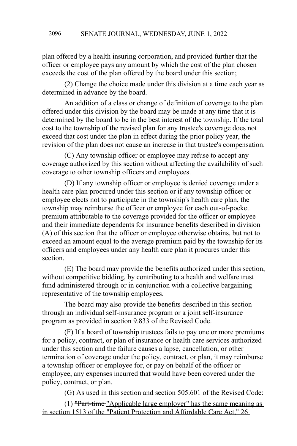plan offered by a health insuring corporation, and provided further that the officer or employee pays any amount by which the cost of the plan chosen exceeds the cost of the plan offered by the board under this section;

(2) Change the choice made under this division at a time each year as determined in advance by the board.

An addition of a class or change of definition of coverage to the plan offered under this division by the board may be made at any time that it is determined by the board to be in the best interest of the township. If the total cost to the township of the revised plan for any trustee's coverage does not exceed that cost under the plan in effect during the prior policy year, the revision of the plan does not cause an increase in that trustee's compensation.

(C) Any township officer or employee may refuse to accept any coverage authorized by this section without affecting the availability of such coverage to other township officers and employees.

(D) If any township officer or employee is denied coverage under a health care plan procured under this section or if any township officer or employee elects not to participate in the township's health care plan, the township may reimburse the officer or employee for each out-of-pocket premium attributable to the coverage provided for the officer or employee and their immediate dependents for insurance benefits described in division (A) of this section that the officer or employee otherwise obtains, but not to exceed an amount equal to the average premium paid by the township for its officers and employees under any health care plan it procures under this section.

(E) The board may provide the benefits authorized under this section, without competitive bidding, by contributing to a health and welfare trust fund administered through or in conjunction with a collective bargaining representative of the township employees.

The board may also provide the benefits described in this section through an individual self-insurance program or a joint self-insurance program as provided in section 9.833 of the Revised Code.

(F) If a board of township trustees fails to pay one or more premiums for a policy, contract, or plan of insurance or health care services authorized under this section and the failure causes a lapse, cancellation, or other termination of coverage under the policy, contract, or plan, it may reimburse a township officer or employee for, or pay on behalf of the officer or employee, any expenses incurred that would have been covered under the policy, contract, or plan.

(G) As used in this section and section 505.601 of the Revised Code:

(1) "Part-time "Applicable large employer" has the same meaning as in section 1513 of the "Patient Protection and Affordable Care Act," 26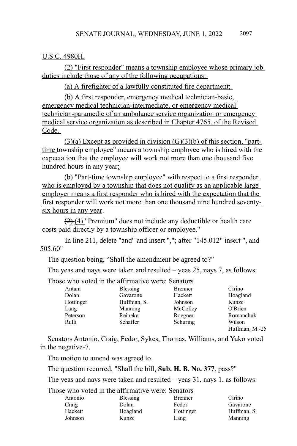U.S.C. 4980H.

(2) "First responder" means a township employee whose primary job duties include those of any of the following occupations:

(a) A firefighter of a lawfully constituted fire department;

(b) A first responder, emergency medical technician-basic, emergency medical technician-intermediate, or emergency medical technician-paramedic of an ambulance service organization or emergency medical service organization as described in Chapter 4765. of the Revised Code.

 $(3)(a)$  Except as provided in division  $(G)(3)(b)$  of this section, "parttime township employee" means a township employee who is hired with the expectation that the employee will work not more than one thousand five hundred hours in any year;

(b) "Part-time township employee" with respect to a first responder who is employed by a township that does not qualify as an applicable large employer means a first responder who is hired with the expectation that the first responder will work not more than one thousand nine hundred seventysix hours in any year.

 $(2)$  (4) "Premium" does not include any deductible or health care costs paid directly by a township officer or employee."

In line 211, delete "and" and insert ","; after "145.012" insert ", and 505.60"

The question being, "Shall the amendment be agreed to?"

The yeas and nays were taken and resulted – yeas 25, nays 7, as follows:

Those who voted in the affirmative were: Senators

| Antani    | <b>Blessing</b> | <b>Brenner</b> | Cirino         |
|-----------|-----------------|----------------|----------------|
| Dolan     | Gavarone        | Hackett        | Hoagland       |
| Hottinger | Huffman, S.     | Johnson        | Kunze          |
| Lang      | Manning         | McColley       | O'Brien        |
| Peterson  | Reineke         | Roegner        | Romanchuk      |
| Rulli     | Schaffer        | Schuring       | Wilson         |
|           |                 |                | Huffman, M.-25 |

Senators Antonio, Craig, Fedor, Sykes, Thomas, Williams, and Yuko voted in the negative-7.

The motion to amend was agreed to.

The question recurred, "Shall the bill, **Sub. H. B. No. 377**, pass?"

The yeas and nays were taken and resulted – yeas 31, nays 1, as follows:

Those who voted in the affirmative were: Senators

| <b>Blessing</b> | <b>Brenner</b> | Cirino      |
|-----------------|----------------|-------------|
| Dolan           | Fedor          | Gavarone    |
| Hoagland        | Hottinger      | Huffman, S. |
| Kunze           | Lang           | Manning     |
|                 |                |             |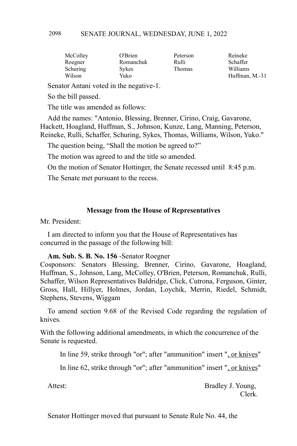| O'Brien      | Peterson | Reineke        |
|--------------|----------|----------------|
| Romanchuk    | Rulli    | Schaffer       |
| <b>Sykes</b> | Thomas   | Williams       |
| Yuko         |          | Huffman, M.-31 |
|              |          |                |

Senator Antani voted in the negative-1.

So the bill passed.

The title was amended as follows:

Add the names: "Antonio, Blessing, Brenner, Cirino, Craig, Gavarone, Hackett, Hoagland, Huffman, S., Johnson, Kunze, Lang, Manning, Peterson, Reineke, Rulli, Schaffer, Schuring, Sykes, Thomas, Williams, Wilson, Yuko."

The question being, "Shall the motion be agreed to?"

The motion was agreed to and the title so amended.

On the motion of Senator Hottinger, the Senate recessed until 8:45 p.m.

The Senate met pursuant to the recess.

### **Message from the House of Representatives**

Mr. President:

I am directed to inform you that the House of Representatives has concurred in the passage of the following bill:

**Am. Sub. S. B. No. 156** -Senator Roegner

Cosponsors: Senators Blessing, Brenner, Cirino, Gavarone, Hoagland, Huffman, S., Johnson, Lang, McColley, O'Brien, Peterson, Romanchuk, Rulli, Schaffer, Wilson Representatives Baldridge, Click, Cutrona, Ferguson, Ginter, Gross, Hall, Hillyer, Holmes, Jordan, Loychik, Merrin, Riedel, Schmidt, Stephens, Stevens, Wiggam

To amend section 9.68 of the Revised Code regarding the regulation of knives.

With the following additional amendments, in which the concurrence of the Senate is requested.

In line 59, strike through "or"; after "ammunition" insert ", or knives"

In line 62, strike through "or"; after "ammunition" insert ", or knives"

Attest: Bradley J. Young, Clerk.

Senator Hottinger moved that pursuant to Senate Rule No. 44, the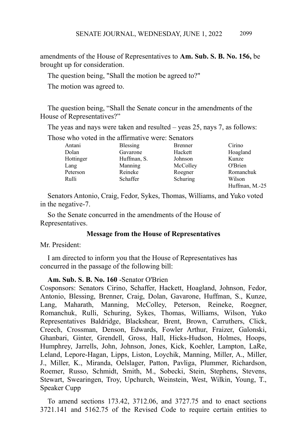amendments of the House of Representatives to **Am. Sub. S. B. No. 156,** be brought up for consideration.

The question being, "Shall the motion be agreed to?"

The motion was agreed to.

The question being, "Shall the Senate concur in the amendments of the House of Representatives?"

The yeas and nays were taken and resulted – yeas 25, nays 7, as follows:

|           | Those who voted in the affirmative were: Senators |                |              |
|-----------|---------------------------------------------------|----------------|--------------|
| Antani    | <b>Blessing</b>                                   | <b>Brenner</b> | Cirino       |
| Dolan     | Gavarone                                          | Hackett        | Hoagland     |
| Hottinger | Huffman, S.                                       | Johnson        | Kunze        |
| Lang      | Manning                                           | McColley       | O'Brien      |
| Peterson  | Reineke                                           | Roegner        | Romanchuk    |
| Rulli     | Schaffer                                          | Schuring       | Wilson       |
|           |                                                   |                | Huffman M-25 |

Senators Antonio, Craig, Fedor, Sykes, Thomas, Williams, and Yuko voted in the negative-7.

So the Senate concurred in the amendments of the House of Representatives.

# **Message from the House of Representatives**

Mr. President:

I am directed to inform you that the House of Representatives has concurred in the passage of the following bill:

### **Am. Sub. S. B. No. 160** -Senator O'Brien

Cosponsors: Senators Cirino, Schaffer, Hackett, Hoagland, Johnson, Fedor, Antonio, Blessing, Brenner, Craig, Dolan, Gavarone, Huffman, S., Kunze, Lang, Maharath, Manning, McColley, Peterson, Reineke, Roegner, Romanchuk, Rulli, Schuring, Sykes, Thomas, Williams, Wilson, Yuko Representatives Baldridge, Blackshear, Brent, Brown, Carruthers, Click, Creech, Crossman, Denson, Edwards, Fowler Arthur, Fraizer, Galonski, Ghanbari, Ginter, Grendell, Gross, Hall, Hicks-Hudson, Holmes, Hoops, Humphrey, Jarrells, John, Johnson, Jones, Kick, Koehler, Lampton, LaRe, Leland, Lepore-Hagan, Lipps, Liston, Loychik, Manning, Miller, A., Miller, J., Miller, K., Miranda, Oelslager, Patton, Pavliga, Plummer, Richardson, Roemer, Russo, Schmidt, Smith, M., Sobecki, Stein, Stephens, Stevens, Stewart, Swearingen, Troy, Upchurch, Weinstein, West, Wilkin, Young, T., Speaker Cupp

To amend sections 173.42, 3712.06, and 3727.75 and to enact sections 3721.141 and 5162.75 of the Revised Code to require certain entities to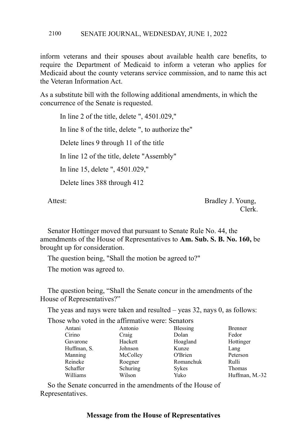inform veterans and their spouses about available health care benefits, to require the Department of Medicaid to inform a veteran who applies for Medicaid about the county veterans service commission, and to name this act the Veteran Information Act.

As a substitute bill with the following additional amendments, in which the concurrence of the Senate is requested.

In line 2 of the title, delete ", 4501.029," In line 8 of the title, delete ", to authorize the" Delete lines 9 through 11 of the title In line 12 of the title, delete "Assembly" In line 15, delete ", 4501.029," Delete lines 388 through 412

Attest: Bradley J. Young, Clerk.

Senator Hottinger moved that pursuant to Senate Rule No. 44, the amendments of the House of Representatives to **Am. Sub. S. B. No. 160,** be brought up for consideration.

The question being, "Shall the motion be agreed to?"

The motion was agreed to.

The question being, "Shall the Senate concur in the amendments of the House of Representatives?"

The yeas and nays were taken and resulted – yeas 32, nays 0, as follows:

Those who voted in the affirmative were: Senators

| Antani      | Antonio  | <b>Blessing</b> | <b>Brenner</b> |
|-------------|----------|-----------------|----------------|
| Cirino      | Craig    | Dolan           | Fedor          |
| Gavarone    | Hackett  | Hoagland        | Hottinger      |
| Huffman, S. | Johnson  | Kunze           | Lang           |
| Manning     | McColley | O'Brien         | Peterson       |
| Reineke     | Roegner  | Romanchuk       | Rulli          |
| Schaffer    | Schuring | Sykes           | Thomas         |
| Williams    | Wilson   | Yuko            | Huffman, M.-32 |

So the Senate concurred in the amendments of the House of Representatives.

# **Message from the House of Representatives**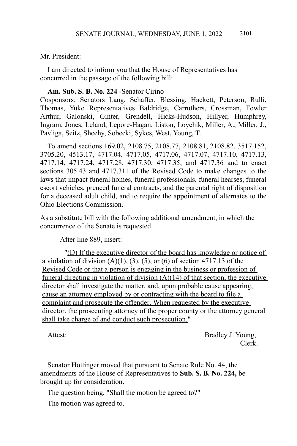# Mr. President:

I am directed to inform you that the House of Representatives has concurred in the passage of the following bill:

#### **Am. Sub. S. B. No. 224** -Senator Cirino

Cosponsors: Senators Lang, Schaffer, Blessing, Hackett, Peterson, Rulli, Thomas, Yuko Representatives Baldridge, Carruthers, Crossman, Fowler Arthur, Galonski, Ginter, Grendell, Hicks-Hudson, Hillyer, Humphrey, Ingram, Jones, Leland, Lepore-Hagan, Liston, Loychik, Miller, A., Miller, J., Pavliga, Seitz, Sheehy, Sobecki, Sykes, West, Young, T.

To amend sections 169.02, 2108.75, 2108.77, 2108.81, 2108.82, 3517.152, 3705.20, 4513.17, 4717.04, 4717.05, 4717.06, 4717.07, 4717.10, 4717.13, 4717.14, 4717.24, 4717.28, 4717.30, 4717.35, and 4717.36 and to enact sections 305.43 and 4717.311 of the Revised Code to make changes to the laws that impact funeral homes, funeral professionals, funeral hearses, funeral escort vehicles, preneed funeral contracts, and the parental right of disposition for a deceased adult child, and to require the appointment of alternates to the Ohio Elections Commission.

As a substitute bill with the following additional amendment, in which the concurrence of the Senate is requested.

After line 889, insert:

"(D) If the executive director of the board has knowledge or notice of a violation of division  $(A)(1)$ ,  $(3)$ ,  $(5)$ , or  $(6)$  of section 4717.13 of the Revised Code or that a person is engaging in the business or profession of funeral directing in violation of division  $(A)(14)$  of that section, the executive director shall investigate the matter, and, upon probable cause appearing, cause an attorney employed by or contracting with the board to file a complaint and prosecute the offender. When requested by the executive director, the prosecuting attorney of the proper county or the attorney general shall take charge of and conduct such prosecution."

Attest: Bradley J. Young, Clerk.

Senator Hottinger moved that pursuant to Senate Rule No. 44, the amendments of the House of Representatives to **Sub. S. B. No. 224,** be brought up for consideration.

The question being, "Shall the motion be agreed to?"

The motion was agreed to.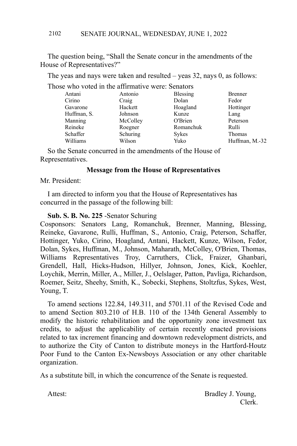The question being, "Shall the Senate concur in the amendments of the House of Representatives?"

The yeas and nays were taken and resulted – yeas 32, nays 0, as follows:

Those who voted in the affirmative were: Senators

| Antani      | Antonio  | Blessing  | <b>Brenner</b> |
|-------------|----------|-----------|----------------|
| Cirino      | Craig    | Dolan     | Fedor          |
| Gavarone    | Hackett  | Hoagland  | Hottinger      |
| Huffman, S. | Johnson  | Kunze     | Lang           |
| Manning     | McColley | O'Brien   | Peterson       |
| Reineke     | Roegner  | Romanchuk | Rulli          |
| Schaffer    | Schuring | Sykes     | Thomas         |
| Williams    | Wilson   | Yuko      | Huffman, M.-32 |
|             |          |           |                |

So the Senate concurred in the amendments of the House of Representatives.

### **Message from the House of Representatives**

Mr. President:

I am directed to inform you that the House of Representatives has concurred in the passage of the following bill:

**Sub. S. B. No. 225** -Senator Schuring

Cosponsors: Senators Lang, Romanchuk, Brenner, Manning, Blessing, Reineke, Gavarone, Rulli, Huffman, S., Antonio, Craig, Peterson, Schaffer, Hottinger, Yuko, Cirino, Hoagland, Antani, Hackett, Kunze, Wilson, Fedor, Dolan, Sykes, Huffman, M., Johnson, Maharath, McColley, O'Brien, Thomas, Williams Representatives Troy, Carruthers, Click, Fraizer, Ghanbari, Grendell, Hall, Hicks-Hudson, Hillyer, Johnson, Jones, Kick, Koehler, Loychik, Merrin, Miller, A., Miller, J., Oelslager, Patton, Pavliga, Richardson, Roemer, Seitz, Sheehy, Smith, K., Sobecki, Stephens, Stoltzfus, Sykes, West, Young, T.

To amend sections 122.84, 149.311, and 5701.11 of the Revised Code and to amend Section 803.210 of H.B. 110 of the 134th General Assembly to modify the historic rehabilitation and the opportunity zone investment tax credits, to adjust the applicability of certain recently enacted provisions related to tax increment financing and downtown redevelopment districts, and to authorize the City of Canton to distribute moneys in the Hartford-Houtz Poor Fund to the Canton Ex-Newsboys Association or any other charitable organization.

As a substitute bill, in which the concurrence of the Senate is requested.

Attest: Bradley J. Young, Clerk.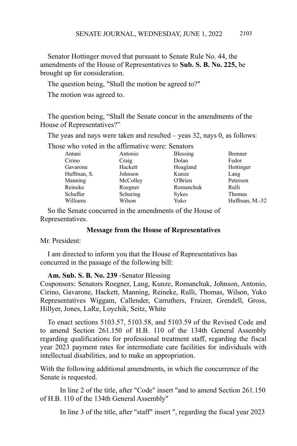Senator Hottinger moved that pursuant to Senate Rule No. 44, the amendments of the House of Representatives to **Sub. S. B. No. 225,** be brought up for consideration.

The question being, "Shall the motion be agreed to?"

The motion was agreed to.

The question being, "Shall the Senate concur in the amendments of the House of Representatives?"

The yeas and nays were taken and resulted – yeas 32, nays 0, as follows:

Those who voted in the affirmative were: Senators

| Antani      | Antonio  | <b>Blessing</b> | <b>Brenner</b> |
|-------------|----------|-----------------|----------------|
| Cirino      | Craig    | Dolan           | Fedor          |
| Gavarone    | Hackett  | Hoagland        | Hottinger      |
| Huffman, S. | Johnson  | Kunze           | Lang           |
| Manning     | McColley | O'Brien         | Peterson       |
| Reineke     | Roegner  | Romanchuk       | Rulli          |
| Schaffer    | Schuring | <b>Sykes</b>    | Thomas         |
| Williams    | Wilson   | Yuko            | Huffman, M.-32 |

So the Senate concurred in the amendments of the House of Representatives.

#### **Message from the House of Representatives**

Mr. President:

I am directed to inform you that the House of Representatives has concurred in the passage of the following bill:

### **Am. Sub. S. B. No. 239** -Senator Blessing

Cosponsors: Senators Roegner, Lang, Kunze, Romanchuk, Johnson, Antonio, Cirino, Gavarone, Hackett, Manning, Reineke, Rulli, Thomas, Wilson, Yuko Representatives Wiggam, Callender, Carruthers, Fraizer, Grendell, Gross, Hillyer, Jones, LaRe, Loychik, Seitz, White

To enact sections 5103.57, 5103.58, and 5103.59 of the Revised Code and to amend Section 261.150 of H.B. 110 of the 134th General Assembly regarding qualifications for professional treatment staff, regarding the fiscal year 2023 payment rates for intermediate care facilities for individuals with intellectual disabilities, and to make an appropriation.

With the following additional amendments, in which the concurrence of the Senate is requested.

In line 2 of the title, after "Code" insert "and to amend Section 261.150 of H.B. 110 of the 134th General Assembly"

In line 3 of the title, after "staff" insert ", regarding the fiscal year 2023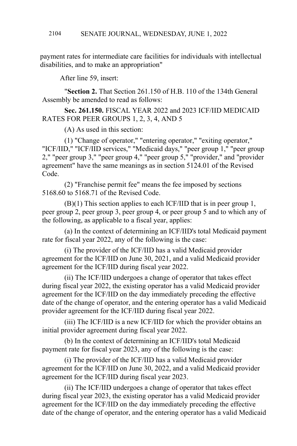payment rates for intermediate care facilities for individuals with intellectual disabilities, and to make an appropriation"

After line 59, insert:

"**Section 2.** That Section 261.150 of H.B. 110 of the 134th General Assembly be amended to read as follows:

**Sec. 261.150.** FISCAL YEAR 2022 and 2023 ICF/IID MEDICAID RATES FOR PEER GROUPS 1, 2, 3, 4, AND 5

(A) As used in this section:

(1) "Change of operator," "entering operator," "exiting operator," "ICF/IID," "ICF/IID services," "Medicaid days," "peer group 1," "peer group 2," "peer group 3," "peer group 4," "peer group 5," "provider," and "provider agreement" have the same meanings as in section 5124.01 of the Revised Code.

(2) "Franchise permit fee" means the fee imposed by sections 5168.60 to 5168.71 of the Revised Code.

(B)(1) This section applies to each ICF/IID that is in peer group 1, peer group 2, peer group 3, peer group 4, or peer group 5 and to which any of the following, as applicable to a fiscal year, applies:

(a) In the context of determining an ICF/IID's total Medicaid payment rate for fiscal year 2022, any of the following is the case:

(i) The provider of the ICF/IID has a valid Medicaid provider agreement for the ICF/IID on June 30, 2021, and a valid Medicaid provider agreement for the ICF/IID during fiscal year 2022.

(ii) The ICF/IID undergoes a change of operator that takes effect during fiscal year 2022, the existing operator has a valid Medicaid provider agreement for the ICF/IID on the day immediately preceding the effective date of the change of operator, and the entering operator has a valid Medicaid provider agreement for the ICF/IID during fiscal year 2022.

(iii) The ICF/IID is a new ICF/IID for which the provider obtains an initial provider agreement during fiscal year 2022.

(b) In the context of determining an ICF/IID's total Medicaid payment rate for fiscal year 2023, any of the following is the case:

(i) The provider of the ICF/IID has a valid Medicaid provider agreement for the ICF/IID on June 30, 2022, and a valid Medicaid provider agreement for the ICF/IID during fiscal year 2023.

(ii) The ICF/IID undergoes a change of operator that takes effect during fiscal year 2023, the existing operator has a valid Medicaid provider agreement for the ICF/IID on the day immediately preceding the effective date of the change of operator, and the entering operator has a valid Medicaid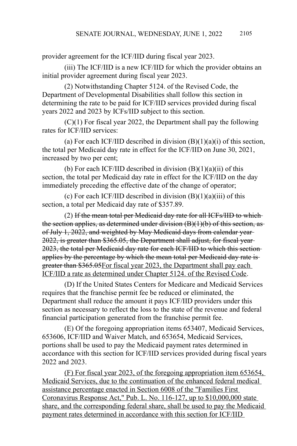provider agreement for the ICF/IID during fiscal year 2023.

(iii) The ICF/IID is a new ICF/IID for which the provider obtains an initial provider agreement during fiscal year 2023.

(2) Notwithstanding Chapter 5124. of the Revised Code, the Department of Developmental Disabilities shall follow this section in determining the rate to be paid for ICF/IID services provided during fiscal years 2022 and 2023 by ICFs/IID subject to this section.

(C)(1) For fiscal year 2022, the Department shall pay the following rates for ICF/IID services:

(a) For each ICF/IID described in division  $(B)(1)(a)(i)$  of this section, the total per Medicaid day rate in effect for the ICF/IID on June 30, 2021, increased by two per cent;

(b) For each ICF/IID described in division  $(B)(1)(a)(ii)$  of this section, the total per Medicaid day rate in effect for the ICF/IID on the day immediately preceding the effective date of the change of operator;

(c) For each ICF/IID described in division  $(B)(1)(a)(iii)$  of this section, a total per Medicaid day rate of \$357.89.

(2) If the mean total per Medicaid day rate for all ICFs/IID to which the section applies, as determined under division  $(B)(1)(b)$  of this section, as of July 1, 2022, and weighted by May Medicaid days from calendar year 2022, is greater than \$365.05, the Department shall adjust, for fiscal year 2023, the total per Medicaid day rate for each ICF/IID to which this section applies by the percentage by which the mean total per Medicaid day rate isgreater than \$365.05For fiscal year 2023, the Department shall pay each ICF/IID a rate as determined under Chapter 5124. of the Revised Code.

(D) If the United States Centers for Medicare and Medicaid Services requires that the franchise permit fee be reduced or eliminated, the Department shall reduce the amount it pays ICF/IID providers under this section as necessary to reflect the loss to the state of the revenue and federal financial participation generated from the franchise permit fee.

(E) Of the foregoing appropriation items 653407, Medicaid Services, 653606, ICF/IID and Waiver Match, and 653654, Medicaid Services, portions shall be used to pay the Medicaid payment rates determined in accordance with this section for ICF/IID services provided during fiscal years 2022 and 2023.

(F) For fiscal year 2023, of the foregoing appropriation item 653654, Medicaid Services, due to the continuation of the enhanced federal medical assistance percentage enacted in Section 6008 of the "Families First Coronavirus Response Act," Pub. L. No. 116-127, up to \$10,000,000 state share, and the corresponding federal share, shall be used to pay the Medicaid payment rates determined in accordance with this section for ICF/IID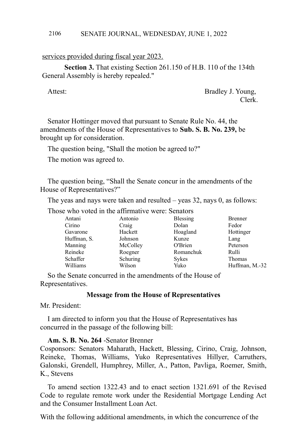services provided during fiscal year 2023.

**Section 3.** That existing Section 261.150 of H.B. 110 of the 134th General Assembly is hereby repealed."

Attest: Bradley J. Young, Clerk.

Senator Hottinger moved that pursuant to Senate Rule No. 44, the amendments of the House of Representatives to **Sub. S. B. No. 239,** be brought up for consideration.

The question being, "Shall the motion be agreed to?"

The motion was agreed to.

The question being, "Shall the Senate concur in the amendments of the House of Representatives?"

The yeas and nays were taken and resulted – yeas 32, nays 0, as follows:

Those who voted in the affirmative were: Senators

| Antani      | Antonio  | Blessing     | <b>Brenner</b> |
|-------------|----------|--------------|----------------|
| Cirino      | Craig    | Dolan        | Fedor          |
| Gavarone    | Hackett  | Hoagland     | Hottinger      |
| Huffman, S. | Johnson  | Kunze        | Lang           |
| Manning     | McColley | O'Brien      | Peterson       |
| Reineke     | Roegner  | Romanchuk    | Rulli          |
| Schaffer    | Schuring | <b>Sykes</b> | Thomas         |
| Williams    | Wilson   | Yuko         | Huffman, M.-32 |

So the Senate concurred in the amendments of the House of Representatives.

### **Message from the House of Representatives**

Mr. President:

I am directed to inform you that the House of Representatives has concurred in the passage of the following bill:

**Am. S. B. No. 264** -Senator Brenner

Cosponsors: Senators Maharath, Hackett, Blessing, Cirino, Craig, Johnson, Reineke, Thomas, Williams, Yuko Representatives Hillyer, Carruthers, Galonski, Grendell, Humphrey, Miller, A., Patton, Pavliga, Roemer, Smith, K., Stevens

To amend section 1322.43 and to enact section 1321.691 of the Revised Code to regulate remote work under the Residential Mortgage Lending Act and the Consumer Installment Loan Act.

With the following additional amendments, in which the concurrence of the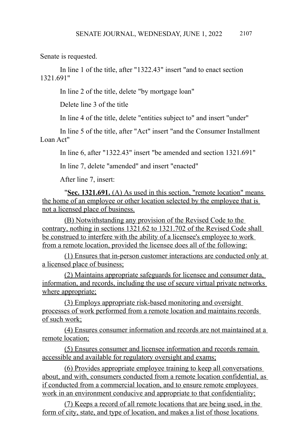Senate is requested.

In line 1 of the title, after "1322.43" insert "and to enact section 1321.691"

In line 2 of the title, delete "by mortgage loan"

Delete line 3 of the title

In line 4 of the title, delete "entities subject to" and insert "under"

In line 5 of the title, after "Act" insert "and the Consumer Installment Loan Act"

In line 6, after "1322.43" insert "be amended and section 1321.691"

In line 7, delete "amended" and insert "enacted"

After line 7, insert:

"**Sec. 1321.691.** (A) As used in this section, "remote location" means the home of an employee or other location selected by the employee that is not a licensed place of business.

(B) Notwithstanding any provision of the Revised Code to the contrary, nothing in sections 1321.62 to 1321.702 of the Revised Code shall be construed to interfere with the ability of a licensee's employee to work from a remote location, provided the licensee does all of the following:

(1) Ensures that in-person customer interactions are conducted only at a licensed place of business;

(2) Maintains appropriate safeguards for licensee and consumer data, information, and records, including the use of secure virtual private networks where appropriate;

(3) Employs appropriate risk-based monitoring and oversight processes of work performed from a remote location and maintains records of such work;

(4) Ensures consumer information and records are not maintained at a remote location;

(5) Ensures consumer and licensee information and records remain accessible and available for regulatory oversight and exams;

(6) Provides appropriate employee training to keep all conversations about, and with, consumers conducted from a remote location confidential, as if conducted from a commercial location, and to ensure remote employees work in an environment conducive and appropriate to that confidentiality;

(7) Keeps a record of all remote locations that are being used, in the form of city, state, and type of location, and makes a list of those locations